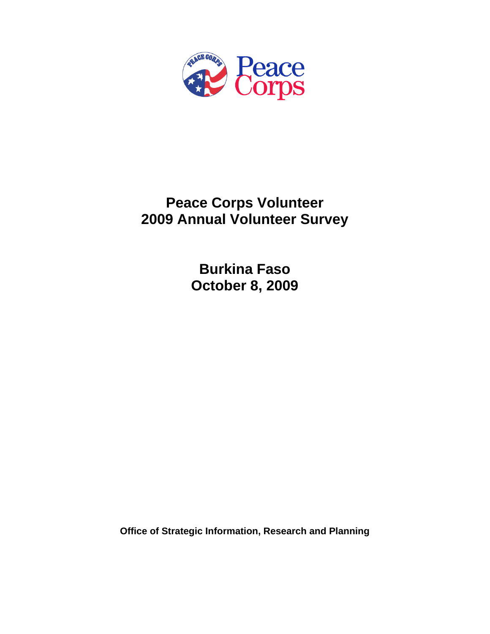

# **Peace Corps Volunteer 2009 Annual Volunteer Survey**

**Burkina Faso October 8, 2009** 

**Office of Strategic Information, Research and Planning**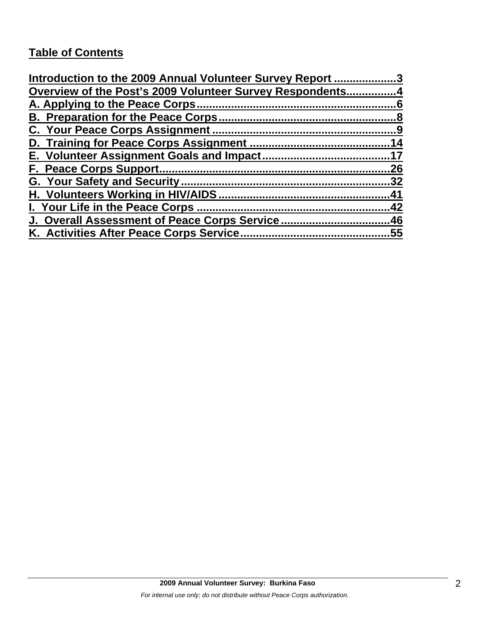# **Table of Contents**

| Introduction to the 2009 Annual Volunteer Survey Report 3 |     |
|-----------------------------------------------------------|-----|
| Overview of the Post's 2009 Volunteer Survey Respondents4 |     |
| A. Applying to the Peace Corps                            |     |
|                                                           |     |
|                                                           |     |
|                                                           |     |
|                                                           |     |
|                                                           | 26  |
|                                                           | .32 |
|                                                           | 41  |
| I. Your Life in the Peace Corps.                          | 42  |
| J. Overall Assessment of Peace Corps Service46            |     |
|                                                           | .55 |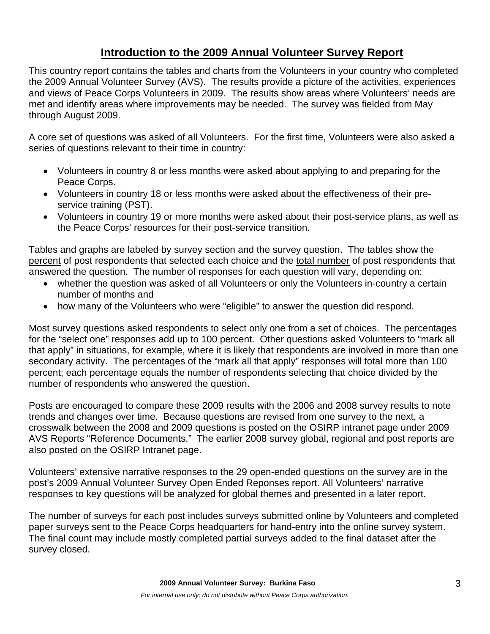# **Introduction to the 2009 Annual Volunteer Survey Report**

This country report contains the tables and charts from the Volunteers in your country who completed the 2009 Annual Volunteer Survey (AVS). The results provide a picture of the activities, experiences and views of Peace Corps Volunteers in 2009. The results show areas where Volunteers' needs are met and identify areas where improvements may be needed. The survey was fielded from May through August 2009.

A core set of questions was asked of all Volunteers. For the first time, Volunteers were also asked a series of questions relevant to their time in country:

- Volunteers in country 8 or less months were asked about applying to and preparing for the Peace Corps.
- Volunteers in country 18 or less months were asked about the effectiveness of their preservice training (PST).
- Volunteers in country 19 or more months were asked about their post-service plans, as well as the Peace Corps' resources for their post-service transition.

Tables and graphs are labeled by survey section and the survey question. The tables show the percent of post respondents that selected each choice and the total number of post respondents that answered the question. The number of responses for each question will vary, depending on:

- whether the question was asked of all Volunteers or only the Volunteers in-country a certain number of months and
- how many of the Volunteers who were "eligible" to answer the question did respond.

Most survey questions asked respondents to select only one from a set of choices. The percentages for the "select one" responses add up to 100 percent. Other questions asked Volunteers to "mark all that apply" in situations, for example, where it is likely that respondents are involved in more than one secondary activity. The percentages of the "mark all that apply" responses will total more than 100 percent; each percentage equals the number of respondents selecting that choice divided by the number of respondents who answered the question.

Posts are encouraged to compare these 2009 results with the 2006 and 2008 survey results to note trends and changes over time. Because questions are revised from one survey to the next, a crosswalk between the 2008 and 2009 questions is posted on the OSIRP intranet page under 2009 AVS Reports "Reference Documents." The earlier 2008 survey global, regional and post reports are also posted on the OSIRP Intranet page.

Volunteers' extensive narrative responses to the 29 open-ended questions on the survey are in the post's 2009 Annual Volunteer Survey Open Ended Reponses report. All Volunteers' narrative responses to key questions will be analyzed for global themes and presented in a later report.

The number of surveys for each post includes surveys submitted online by Volunteers and completed paper surveys sent to the Peace Corps headquarters for hand-entry into the online survey system. The final count may include mostly completed partial surveys added to the final dataset after the survey closed.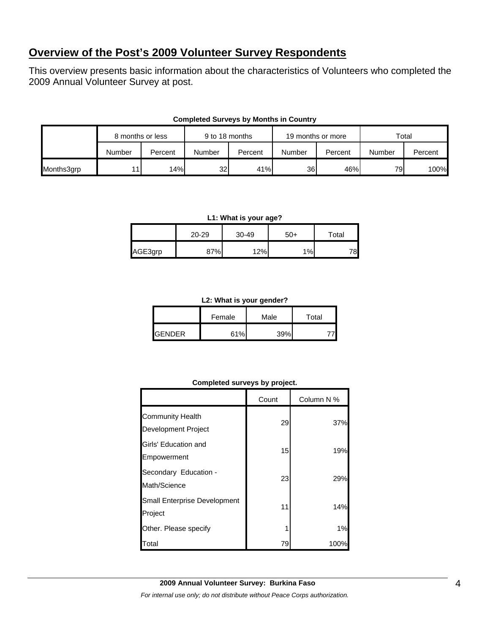# **Overview of the Post's 2009 Volunteer Survey Respondents**

This overview presents basic information about the characteristics of Volunteers who completed the 2009 Annual Volunteer Survey at post.

|            | 8 months or less |         | 9 to 18 months  |         | 19 months or more |         | Total  |         |
|------------|------------------|---------|-----------------|---------|-------------------|---------|--------|---------|
|            | Number           | Percent | Number          | Percent | Number            | Percent | Number | Percent |
| Months3grp |                  | 14%     | 32 <sub>l</sub> | 41%     | 36I               | 46%     | 79     | 100%    |

#### **Completed Surveys by Months in Country**

#### **L1: What is your age?**

|         | 20-29 | 30-49 | $50+$ | Total |
|---------|-------|-------|-------|-------|
| AGE3grp | 87%   | 12%   | 1%    |       |

#### **L2: What is your gender?**

|                | Female | Male | Total |  |
|----------------|--------|------|-------|--|
| <b>IGENDER</b> | 61%    | 39%  |       |  |

#### **Completed surveys by project.**

|                                                | Count | Column N % |
|------------------------------------------------|-------|------------|
| <b>Community Health</b><br>Development Project | 29    | 37%        |
| Girls' Education and<br>Empowerment            | 15    | 19%        |
| Secondary Education -<br>Math/Science          | 23    | 29%        |
| <b>Small Enterprise Development</b><br>Project | 11    | 14%        |
| Other. Please specify                          |       | 1%         |
| Total                                          | 79    | 100%       |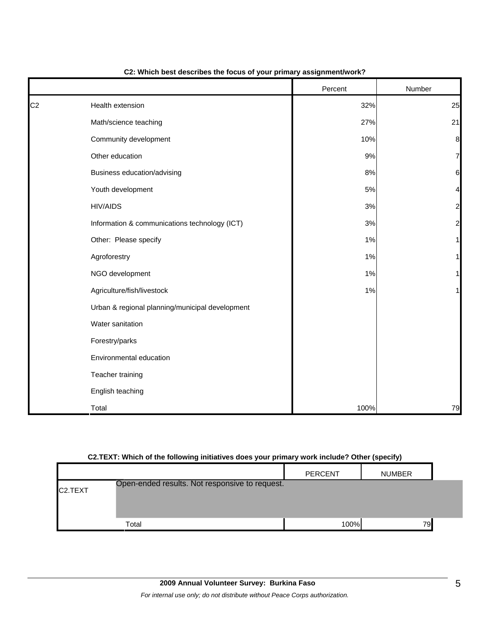|                |                                                 | Percent | Number         |
|----------------|-------------------------------------------------|---------|----------------|
| C <sub>2</sub> | Health extension                                | 32%     | 25             |
|                | Math/science teaching                           | 27%     | 21             |
|                | Community development                           | 10%     | 8              |
|                | Other education                                 | 9%      | 7              |
|                | Business education/advising                     | 8%      | 6              |
|                | Youth development                               | 5%      | 4              |
|                | <b>HIV/AIDS</b>                                 | $3%$    | 2              |
|                | Information & communications technology (ICT)   | $3%$    | $\overline{c}$ |
|                | Other: Please specify                           | 1%      |                |
|                | Agroforestry                                    | 1%      |                |
|                | NGO development                                 | 1%      |                |
|                | Agriculture/fish/livestock                      | 1%      |                |
|                | Urban & regional planning/municipal development |         |                |
|                | Water sanitation                                |         |                |
|                | Forestry/parks                                  |         |                |
|                | Environmental education                         |         |                |
|                | Teacher training                                |         |                |
|                | English teaching                                |         |                |
|                | Total                                           | 100%    | 79             |

#### **C2: Which best describes the focus of your primary assignment/work?**

#### **C2.TEXT: Which of the following initiatives does your primary work include? Other (specify)**

|                      |                                                | <b>PERCENT</b> | <b>NUMBER</b> |  |
|----------------------|------------------------------------------------|----------------|---------------|--|
| C <sub>2</sub> .TEXT | Open-ended results. Not responsive to request. |                |               |  |
|                      | Total                                          | 100%           | 79            |  |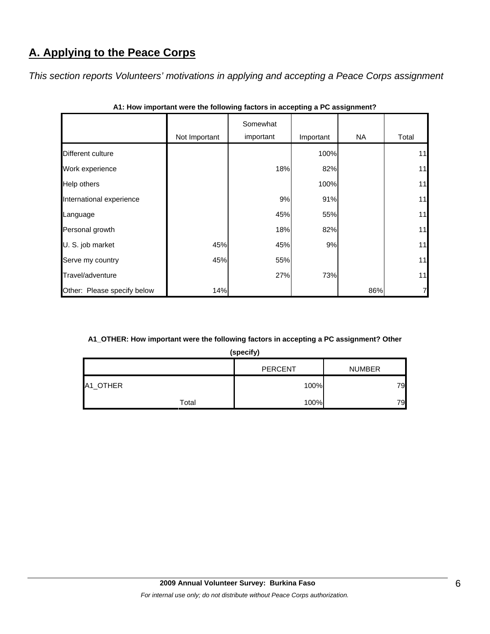# **A. Applying to the Peace Corps**

*This section reports Volunteers' motivations in applying and accepting a Peace Corps assignment* 

|                             | Not Important | Somewhat<br>important | Important | NA  | Total          |
|-----------------------------|---------------|-----------------------|-----------|-----|----------------|
|                             |               |                       |           |     |                |
| Different culture           |               |                       | 100%      |     | 11             |
| Work experience             |               | 18%                   | 82%       |     | 11             |
| Help others                 |               |                       | 100%      |     | 11             |
| International experience    |               | 9%                    | 91%       |     | 11             |
| Language                    |               | 45%                   | 55%       |     | 11             |
| Personal growth             |               | 18%                   | 82%       |     | 11             |
| U. S. job market            | 45%           | 45%                   | 9%        |     | 11             |
| Serve my country            | 45%           | 55%                   |           |     | 11             |
| Travel/adventure            |               | 27%                   | 73%       |     | 11             |
| Other: Please specify below | 14%           |                       |           | 86% | $\overline{7}$ |

**A1: How important were the following factors in accepting a PC assignment?**

## **A1\_OTHER: How important were the following factors in accepting a PC assignment? Other**

**(specify)**

|          |       | <b>PERCENT</b> | <b>NUMBER</b> |
|----------|-------|----------------|---------------|
| A1_OTHER |       | 100%           | 79            |
|          | Total | 100%           | 79            |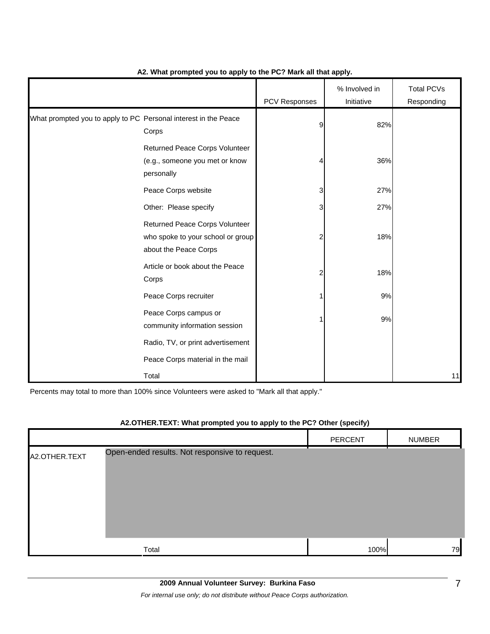|                                                                 |                                                                                              | PCV Responses | % Involved in<br>Initiative | <b>Total PCVs</b><br>Responding |
|-----------------------------------------------------------------|----------------------------------------------------------------------------------------------|---------------|-----------------------------|---------------------------------|
| What prompted you to apply to PC Personal interest in the Peace | Corps                                                                                        | 9             | 82%                         |                                 |
|                                                                 | Returned Peace Corps Volunteer<br>(e.g., someone you met or know<br>personally               | Δ             | 36%                         |                                 |
|                                                                 | Peace Corps website                                                                          | 3             | 27%                         |                                 |
|                                                                 | Other: Please specify                                                                        | 3             | 27%                         |                                 |
|                                                                 | Returned Peace Corps Volunteer<br>who spoke to your school or group<br>about the Peace Corps | 2             | 18%                         |                                 |
|                                                                 | Article or book about the Peace<br>Corps                                                     | 2             | 18%                         |                                 |
|                                                                 | Peace Corps recruiter                                                                        |               | 9%                          |                                 |
|                                                                 | Peace Corps campus or<br>community information session                                       |               | 9%                          |                                 |
|                                                                 | Radio, TV, or print advertisement                                                            |               |                             |                                 |
|                                                                 | Peace Corps material in the mail                                                             |               |                             |                                 |
|                                                                 | Total                                                                                        |               |                             | 11                              |

#### **A2. What prompted you to apply to the PC? Mark all that apply.**

Percents may total to more than 100% since Volunteers were asked to "Mark all that apply."

# **A2.OTHER.TEXT: What prompted you to apply to the PC? Other (specify)**

|               |                                                | PERCENT | <b>NUMBER</b> |
|---------------|------------------------------------------------|---------|---------------|
| A2.OTHER.TEXT | Open-ended results. Not responsive to request. |         |               |
|               | Total                                          | 100%    | 79            |

*For internal use only; do not distribute without Peace Corps authorization.*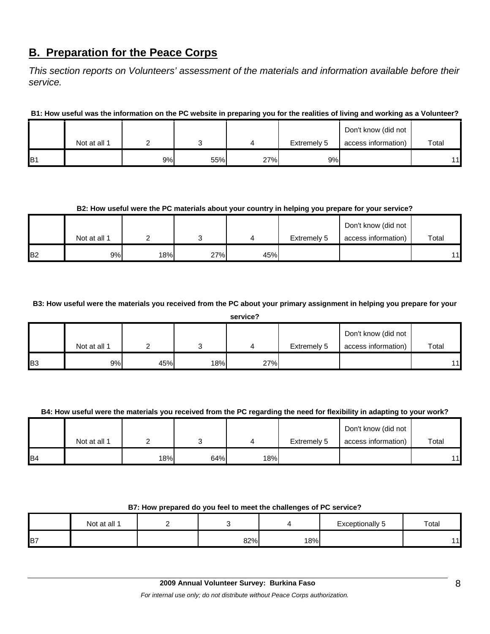# **B. Preparation for the Peace Corps**

*This section reports on Volunteers' assessment of the materials and information available before their service.* 

**B1: How useful was the information on the PC website in preparing you for the realities of living and working as a Volunteer?**

|                 |              |    |     |     |             | Don't know (did not |       |
|-----------------|--------------|----|-----|-----|-------------|---------------------|-------|
|                 | Not at all 1 |    |     |     | Extremely 5 | access information) | Total |
| IB <sub>1</sub> |              | 9% | 55% | 27% | 9%          |                     | 11    |

#### **B2: How useful were the PC materials about your country in helping you prepare for your service?**

|                |              |     |     |     |             | Don't know (did not |       |
|----------------|--------------|-----|-----|-----|-------------|---------------------|-------|
|                | Not at all 1 |     |     |     | Extremely 5 | access information) | Total |
| B <sub>2</sub> | 9%           | 18% | 27% | 45% |             |                     | 11    |

**B3: How useful were the materials you received from the PC about your primary assignment in helping you prepare for your** 

|                | service?     |     |     |     |             |                                            |       |  |  |  |
|----------------|--------------|-----|-----|-----|-------------|--------------------------------------------|-------|--|--|--|
|                | Not at all 1 |     |     |     | Extremely 5 | Don't know (did not<br>access information) | Total |  |  |  |
|                |              |     |     |     |             |                                            |       |  |  |  |
| B <sub>3</sub> | 9%           | 45% | 18% | 27% |             |                                            | 11    |  |  |  |

#### **B4: How useful were the materials you received from the PC regarding the need for flexibility in adapting to your work?**

|                |              |     |     |     |             | Don't know (did not |       |
|----------------|--------------|-----|-----|-----|-------------|---------------------|-------|
|                | Not at all 1 |     |     |     | Extremely 5 | access information) | Total |
| B <sub>4</sub> |              | 18% | 64% | 18% |             |                     | 11    |

#### **B7: How prepared do you feel to meet the challenges of PC service?**

|                | Not at all 1 |     |     | Exceptionally 5 | Total |
|----------------|--------------|-----|-----|-----------------|-------|
| B <sub>7</sub> |              | 82% | 18% |                 | 11    |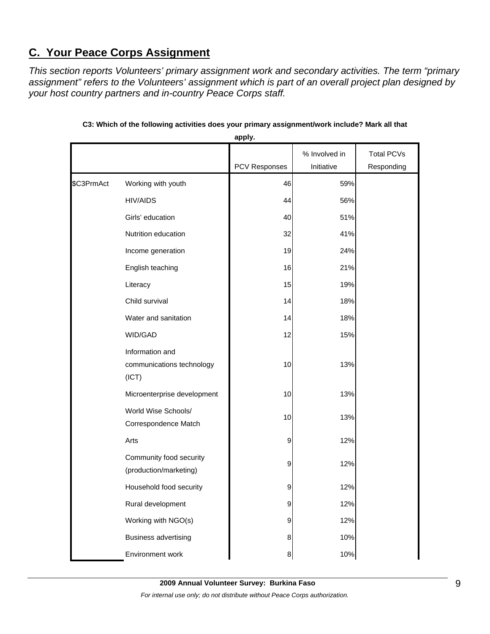# **C. Your Peace Corps Assignment**

*This section reports Volunteers' primary assignment work and secondary activities. The term "primary assignment" refers to the Volunteers' assignment which is part of an overall project plan designed by your host country partners and in-country Peace Corps staff.* 

|            |                                                       | apply.         |                             |                                 |
|------------|-------------------------------------------------------|----------------|-----------------------------|---------------------------------|
|            |                                                       | PCV Responses  | % Involved in<br>Initiative | <b>Total PCVs</b><br>Responding |
| \$C3PrmAct | Working with youth                                    | 46             | 59%                         |                                 |
|            | <b>HIV/AIDS</b>                                       | 44             | 56%                         |                                 |
|            | Girls' education                                      | 40             | 51%                         |                                 |
|            | Nutrition education                                   | 32             | 41%                         |                                 |
|            | Income generation                                     | 19             | 24%                         |                                 |
|            | English teaching                                      | 16             | 21%                         |                                 |
|            | Literacy                                              | 15             | 19%                         |                                 |
|            | Child survival                                        | 14             | 18%                         |                                 |
|            | Water and sanitation                                  | 14             | 18%                         |                                 |
|            | WID/GAD                                               | 12             | 15%                         |                                 |
|            | Information and<br>communications technology<br>(ICT) | 10             | 13%                         |                                 |
|            | Microenterprise development                           | 10             | 13%                         |                                 |
|            | World Wise Schools/<br>Correspondence Match           | 10             | 13%                         |                                 |
|            | Arts                                                  | 9              | 12%                         |                                 |
|            | Community food security<br>(production/marketing)     | 9              | 12%                         |                                 |
|            | Household food security                               | 9              | 12%                         |                                 |
|            | Rural development                                     | 9              | 12%                         |                                 |
|            | Working with NGO(s)                                   | 9              | 12%                         |                                 |
|            | <b>Business advertising</b>                           | 8              | 10%                         |                                 |
|            | Environment work                                      | 8 <sup>1</sup> | 10%                         |                                 |

### **C3: Which of the following activities does your primary assignment/work include? Mark all that**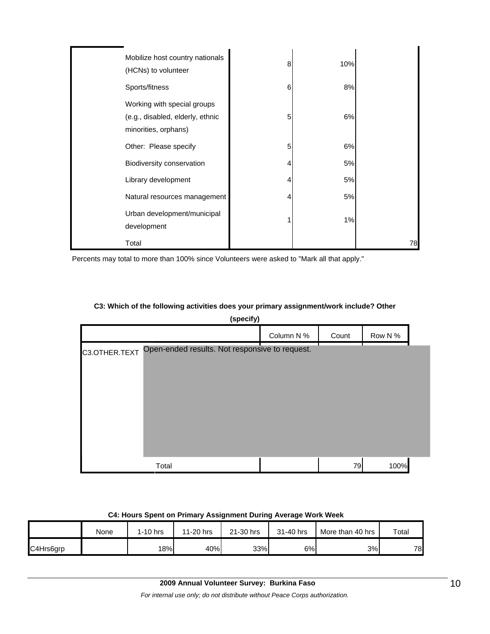| Mobilize host country nationals<br>(HCNs) to volunteer                                  | 8 | 10% |    |
|-----------------------------------------------------------------------------------------|---|-----|----|
| Sports/fitness                                                                          | 6 | 8%  |    |
| Working with special groups<br>(e.g., disabled, elderly, ethnic<br>minorities, orphans) | 5 | 6%  |    |
| Other: Please specify                                                                   | 5 | 6%  |    |
| Biodiversity conservation                                                               | 4 | 5%  |    |
| Library development                                                                     | 4 | 5%  |    |
| Natural resources management                                                            | 4 | 5%  |    |
| Urban development/municipal<br>development                                              | 1 | 1%  |    |
| Total                                                                                   |   |     | 78 |

Percents may total to more than 100% since Volunteers were asked to "Mark all that apply."

#### **C3: Which of the following activities does your primary assignment/work include? Other**

| s | оеспу |
|---|-------|
|   |       |

|               |                                                | Column N % | Count | Row N % |  |
|---------------|------------------------------------------------|------------|-------|---------|--|
| C3.OTHER.TEXT | Open-ended results. Not responsive to request. |            |       |         |  |
|               |                                                |            |       |         |  |
|               |                                                |            |       |         |  |
|               |                                                |            |       |         |  |
|               |                                                |            |       |         |  |
|               |                                                |            |       |         |  |
|               |                                                |            |       |         |  |
|               | Total                                          |            | 79    | 100%    |  |

| <u>UT. HUMO UPUIN UN FINIMIT AUUNINIUMIN PAININ ATURUU TIUN MUUN</u> |             |            |           |           |           |                  |             |  |  |
|----------------------------------------------------------------------|-------------|------------|-----------|-----------|-----------|------------------|-------------|--|--|
|                                                                      | <b>None</b> | $1-10$ hrs | 11-20 hrs | 21-30 hrs | 31-40 hrs | More than 40 hrs | $\tau$ otal |  |  |
| C4Hrs6grp                                                            |             | 18%        | 40%       | 33%       | 6%        | 3%               | 78          |  |  |

#### **C4: Hours Spent on Primary Assignment During Average Work Week**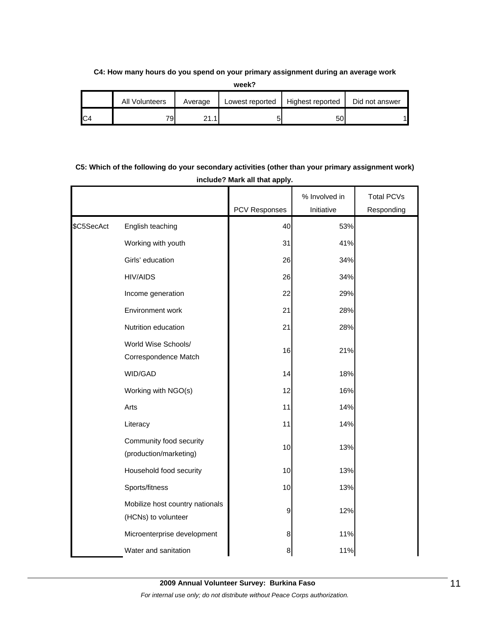#### **C4: How many hours do you spend on your primary assignment during an average work**

**week?**

| All Volunteers | Average | Lowest reported | Highest reported | Did not answer |
|----------------|---------|-----------------|------------------|----------------|
| 79.            |         |                 | bυ               |                |

## **C5: Which of the following do your secondary activities (other than your primary assignment work) include? Mark all that apply.**

|            |                                                        |               | % Involved in | <b>Total PCVs</b> |
|------------|--------------------------------------------------------|---------------|---------------|-------------------|
|            |                                                        | PCV Responses | Initiative    | Responding        |
| \$C5SecAct | English teaching                                       | 40            | 53%           |                   |
|            | Working with youth                                     | 31            | 41%           |                   |
|            | Girls' education                                       | 26            | 34%           |                   |
|            | <b>HIV/AIDS</b>                                        | 26            | 34%           |                   |
|            | Income generation                                      | 22            | 29%           |                   |
|            | Environment work                                       | 21            | 28%           |                   |
|            | Nutrition education                                    | 21            | 28%           |                   |
|            | World Wise Schools/<br>Correspondence Match            | 16            | 21%           |                   |
|            | WID/GAD                                                | 14            | 18%           |                   |
|            | Working with NGO(s)                                    | 12            | 16%           |                   |
|            | Arts                                                   | 11            | 14%           |                   |
|            | Literacy                                               | 11            | 14%           |                   |
|            | Community food security<br>(production/marketing)      | 10            | 13%           |                   |
|            | Household food security                                | 10            | 13%           |                   |
|            | Sports/fitness                                         | 10            | 13%           |                   |
|            | Mobilize host country nationals<br>(HCNs) to volunteer | 9             | 12%           |                   |
|            | Microenterprise development                            | 8             | 11%           |                   |
|            | Water and sanitation                                   | 8             | 11%           |                   |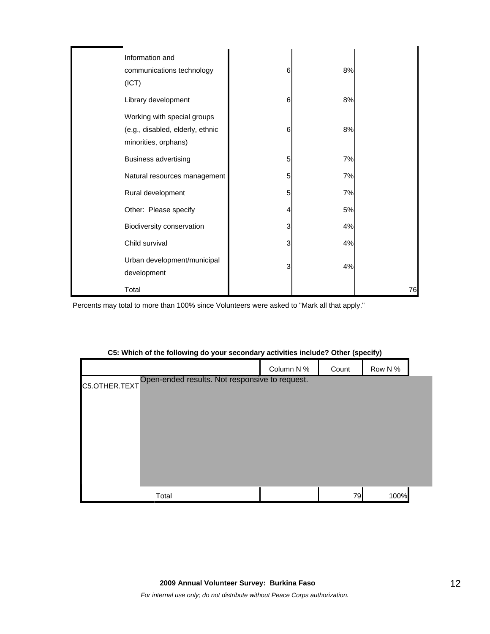| Information and<br>communications technology<br>(ICT)                                   | 6 | 8% |    |
|-----------------------------------------------------------------------------------------|---|----|----|
| Library development                                                                     | 6 | 8% |    |
| Working with special groups<br>(e.g., disabled, elderly, ethnic<br>minorities, orphans) | 6 | 8% |    |
| <b>Business advertising</b>                                                             | 5 | 7% |    |
| Natural resources management                                                            | 5 | 7% |    |
| Rural development                                                                       | 5 | 7% |    |
| Other: Please specify                                                                   | 4 | 5% |    |
| Biodiversity conservation                                                               | 3 | 4% |    |
| Child survival                                                                          | 3 | 4% |    |
| Urban development/municipal<br>development                                              | 3 | 4% |    |
| Total                                                                                   |   |    | 76 |

Percents may total to more than 100% since Volunteers were asked to "Mark all that apply."

|                                                                 |            | - -   |         |  |
|-----------------------------------------------------------------|------------|-------|---------|--|
|                                                                 | Column N % | Count | Row N % |  |
| Open-ended results. Not responsive to request.<br>C5.OTHER.TEXT |            |       |         |  |
|                                                                 |            |       |         |  |
|                                                                 |            |       |         |  |
|                                                                 |            |       |         |  |
|                                                                 |            |       |         |  |
|                                                                 |            |       |         |  |
|                                                                 |            |       |         |  |
| Total                                                           |            | 79    | 100%    |  |

### **C5: Which of the following do your secondary activities include? Other (specify)**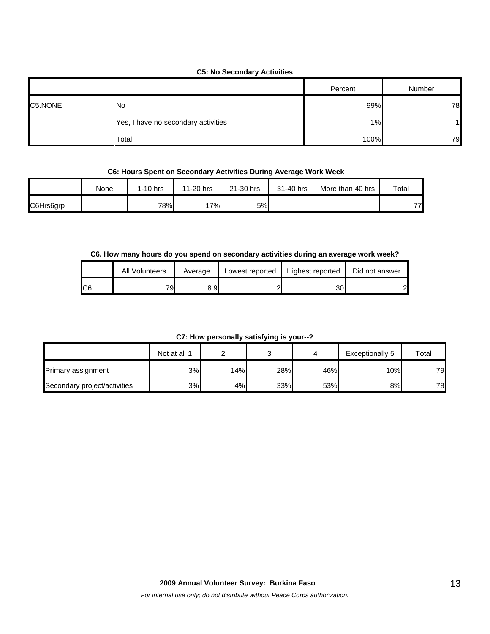#### **C5: No Secondary Activities**

|         |                                     | Percent | Number |
|---------|-------------------------------------|---------|--------|
| C5.NONE | No                                  | 99%     | 78     |
|         | Yes, I have no secondary activities | 1%      |        |
|         | Total                               | 100%    | 79     |

#### **C6: Hours Spent on Secondary Activities During Average Work Week**

|           | None | $1-10$ hrs | 11-20 hrs | 21-30 hrs | 31-40 hrs | More than 40 hrs | Total |
|-----------|------|------------|-----------|-----------|-----------|------------------|-------|
| C6Hrs6grp |      | 78%        | 17%       | 5%        |           |                  | 77    |

#### **C6. How many hours do you spend on secondary activities during an average work week?**

|                | All Volunteers | Average | Lowest reported | Highest reported | Did not answer |
|----------------|----------------|---------|-----------------|------------------|----------------|
| C <sub>6</sub> | 79.            | 8.9I    |                 | 30               | 2              |

**C7: How personally satisfying is your--?**

|                              | Not at all 1 |     |     |     | Exceptionally 5 | Total |
|------------------------------|--------------|-----|-----|-----|-----------------|-------|
| Primary assignment           | 3%           | 14% | 28% | 46% | 10%             | 79    |
| Secondary project/activities | 3%           | 4%  | 33% | 53% | 8%              | 78    |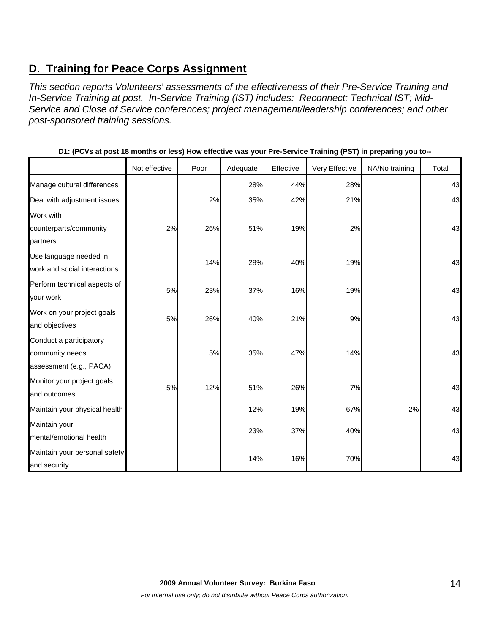# **D. Training for Peace Corps Assignment**

*This section reports Volunteers' assessments of the effectiveness of their Pre-Service Training and In-Service Training at post. In-Service Training (IST) includes: Reconnect; Technical IST; Mid-Service and Close of Service conferences; project management/leadership conferences; and other post-sponsored training sessions.* 

|                               | Not effective | Poor | Adequate | Effective | Very Effective | NA/No training | Total |
|-------------------------------|---------------|------|----------|-----------|----------------|----------------|-------|
| Manage cultural differences   |               |      | 28%      | 44%       | 28%            |                | 43    |
| Deal with adjustment issues   |               | 2%   | 35%      | 42%       | 21%            |                | 43    |
| Work with                     |               |      |          |           |                |                |       |
| counterparts/community        | 2%            | 26%  | 51%      | 19%       | 2%             |                | 43    |
| partners                      |               |      |          |           |                |                |       |
| Use language needed in        |               | 14%  | 28%      | 40%       | 19%            |                | 43    |
| work and social interactions  |               |      |          |           |                |                |       |
| Perform technical aspects of  | 5%            | 23%  | 37%      | 16%       | 19%            |                | 43    |
| your work                     |               |      |          |           |                |                |       |
| Work on your project goals    | 5%            | 26%  | 40%      | 21%       | 9%             |                | 43    |
| and objectives                |               |      |          |           |                |                |       |
| Conduct a participatory       |               |      |          |           |                |                |       |
| community needs               |               | 5%   | 35%      | 47%       | 14%            |                | 43    |
| assessment (e.g., PACA)       |               |      |          |           |                |                |       |
| Monitor your project goals    | 5%            | 12%  | 51%      | 26%       | 7%             |                | 43    |
| and outcomes                  |               |      |          |           |                |                |       |
| Maintain your physical health |               |      | 12%      | 19%       | 67%            | 2%             | 43    |
| Maintain your                 |               |      |          |           |                |                |       |
| mental/emotional health       |               |      | 23%      | 37%       | 40%            |                | 43    |
| Maintain your personal safety |               |      |          |           |                |                | 43    |
| and security                  |               |      | 14%      | 16%       | 70%            |                |       |

**D1: (PCVs at post 18 months or less) How effective was your Pre-Service Training (PST) in preparing you to--**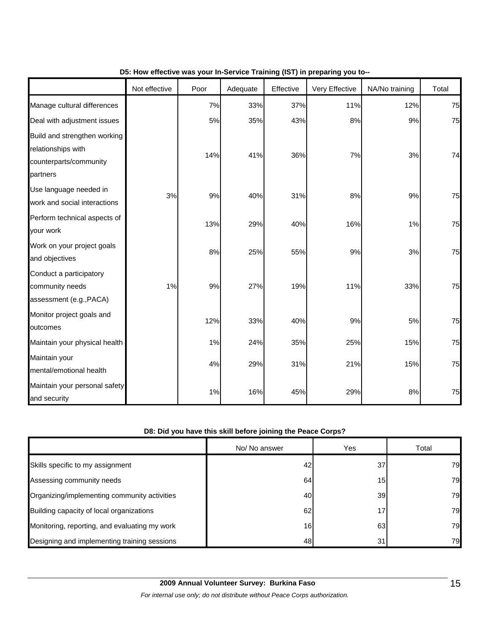|                                                                                          | Not effective | Poor  | Adequate | Effective | Very Effective | NA/No training | Total |
|------------------------------------------------------------------------------------------|---------------|-------|----------|-----------|----------------|----------------|-------|
| Manage cultural differences                                                              |               | 7%    | 33%      | 37%       | 11%            | 12%            | 75    |
| Deal with adjustment issues                                                              |               | 5%    | 35%      | 43%       | 8%             | 9%             | 75    |
| Build and strengthen working<br>relationships with<br>counterparts/community<br>partners |               | 14%   | 41%      | 36%       | 7%             | 3%             | 74    |
| Use language needed in<br>work and social interactions                                   | 3%            | 9%    | 40%      | 31%       | 8%             | 9%             | 75    |
| Perform technical aspects of<br>your work                                                |               | 13%   | 29%      | 40%       | 16%            | 1%             | 75    |
| Work on your project goals<br>and objectives                                             |               | 8%    | 25%      | 55%       | 9%             | 3%             | 75    |
| Conduct a participatory<br>community needs<br>assessment (e.g., PACA)                    | 1%            | 9%    | 27%      | 19%       | 11%            | 33%            | 75    |
| Monitor project goals and<br>outcomes                                                    |               | 12%   | 33%      | 40%       | 9%             | 5%             | 75    |
| Maintain your physical health                                                            |               | 1%    | 24%      | 35%       | 25%            | 15%            | 75    |
| Maintain your<br>mental/emotional health                                                 |               | 4%    | 29%      | 31%       | 21%            | 15%            | 75    |
| Maintain your personal safety<br>and security                                            |               | $1\%$ | 16%      | 45%       | 29%            | 8%             | 75    |

### **D5: How effective was your In-Service Training (IST) in preparing you to--**

### **D8: Did you have this skill before joining the Peace Corps?**

|                                               | No/ No answer | Yes             | Total |
|-----------------------------------------------|---------------|-----------------|-------|
| Skills specific to my assignment              | 42            | 37              | 79    |
| Assessing community needs                     | 64            | 15 <sub>1</sub> | 79    |
| Organizing/implementing community activities  | 40            | 39 <sub>l</sub> | 79    |
| Building capacity of local organizations      | 62            |                 | 79    |
| Monitoring, reporting, and evaluating my work | 16            | 63              | 79    |
| Designing and implementing training sessions  | 48            | 31              | 79    |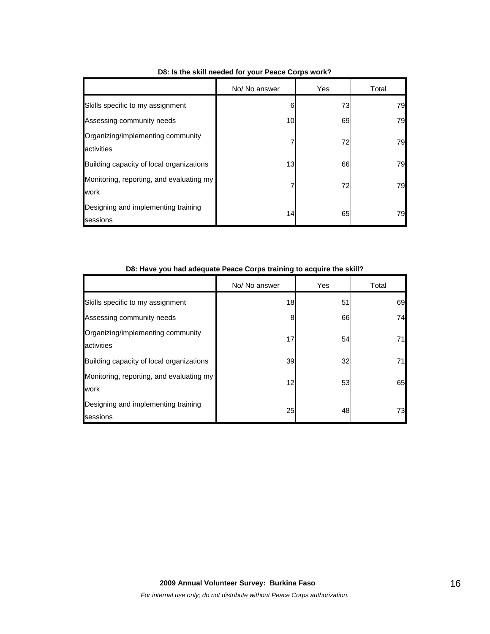|                                                  | No/ No answer | Yes | Total |
|--------------------------------------------------|---------------|-----|-------|
| Skills specific to my assignment                 | 6             | 73  | 79    |
| Assessing community needs                        | 10            | 69  | 79    |
| Organizing/implementing community<br>activities  |               | 72  | 79    |
| Building capacity of local organizations         | 13            | 66  | 79    |
| Monitoring, reporting, and evaluating my<br>work |               | 72  | 79    |
| Designing and implementing training<br>sessions  | 14            | 65  | 79    |

#### **D8: Is the skill needed for your Peace Corps work?**

| <u>Do. Have you had adequate Feace corps training to acquire the skill:</u> |               |     |       |  |  |  |  |  |
|-----------------------------------------------------------------------------|---------------|-----|-------|--|--|--|--|--|
|                                                                             | No/ No answer | Yes | Total |  |  |  |  |  |
| Skills specific to my assignment                                            | 18            | 51  | 69    |  |  |  |  |  |
| Assessing community needs                                                   | 8             | 66  | 74    |  |  |  |  |  |
| Organizing/implementing community<br>activities                             | 17            | 54  | 71    |  |  |  |  |  |
| Building capacity of local organizations                                    | 39            | 32  | 71    |  |  |  |  |  |
| Monitoring, reporting, and evaluating my<br>work                            | 12            | 53  | 65    |  |  |  |  |  |
| Designing and implementing training<br>sessions                             | 25            | 48  | 73    |  |  |  |  |  |

#### **D8: Have you had adequate Peace Corps training to acquire the skill?**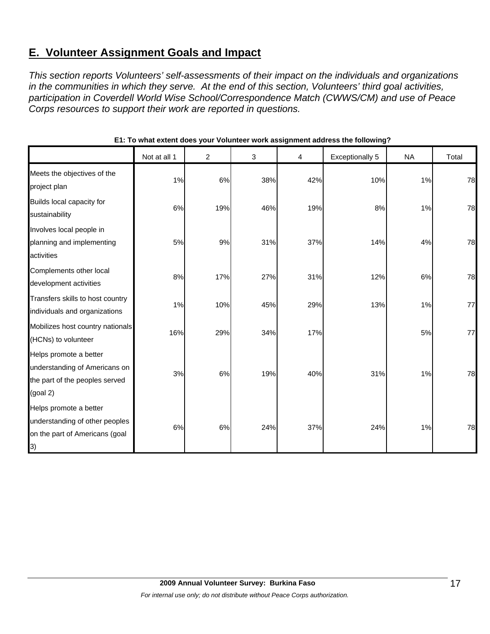# **E. Volunteer Assignment Goals and Impact**

*This section reports Volunteers' self-assessments of their impact on the individuals and organizations in the communities in which they serve. At the end of this section, Volunteers' third goal activities, participation in Coverdell World Wise School/Correspondence Match (CWWS/CM) and use of Peace Corps resources to support their work are reported in questions.* 

|                                                                                                                | Not at all 1 | $\overline{2}$ | 3   | 4   | <b>Exceptionally 5</b> | <b>NA</b> | Total |
|----------------------------------------------------------------------------------------------------------------|--------------|----------------|-----|-----|------------------------|-----------|-------|
| Meets the objectives of the<br>project plan                                                                    | 1%           | 6%             | 38% | 42% | 10%                    | 1%        | 78    |
| Builds local capacity for<br>sustainability                                                                    | 6%           | 19%            | 46% | 19% | 8%                     | 1%        | 78    |
| Involves local people in<br>planning and implementing<br>activities                                            | 5%           | 9%             | 31% | 37% | 14%                    | 4%        | 78    |
| Complements other local<br>development activities                                                              | 8%           | 17%            | 27% | 31% | 12%                    | 6%        | 78    |
| Transfers skills to host country<br>individuals and organizations                                              | 1%           | 10%            | 45% | 29% | 13%                    | 1%        | 77    |
| Mobilizes host country nationals<br>(HCNs) to volunteer                                                        | 16%          | 29%            | 34% | 17% |                        | 5%        | 77    |
| Helps promote a better<br>understanding of Americans on<br>the part of the peoples served<br>(goal 2)          | 3%           | 6%             | 19% | 40% | 31%                    | 1%        | 78    |
| Helps promote a better<br>understanding of other peoples<br>on the part of Americans (goal<br>$\left(3\right)$ | 6%           | 6%             | 24% | 37% | 24%                    | 1%        | 78    |

#### **E1: To what extent does your Volunteer work assignment address the following?**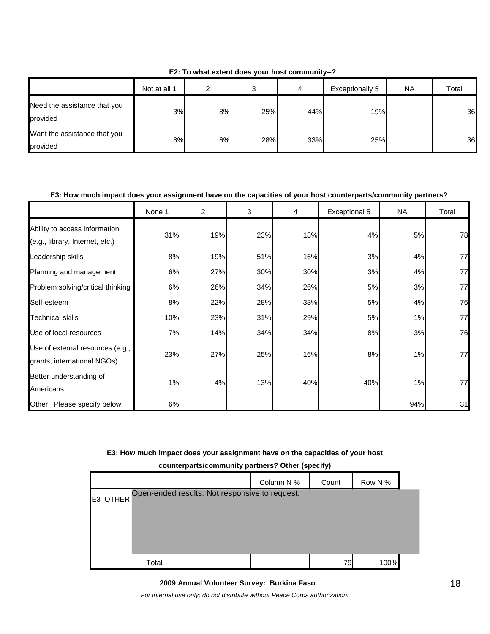|                                          | Not at all 1 | ົ  | ◠<br>J | 4   | Exceptionally 5 | <b>NA</b> | Total |
|------------------------------------------|--------------|----|--------|-----|-----------------|-----------|-------|
| Need the assistance that you<br>provided | 3%           | 8% | 25%    | 44% | 19%             |           | 36    |
| Want the assistance that you<br>provided | 8%           | 6% | 28%    | 33% | 25%             |           | 36    |

**E2: To what extent does your host community--?**

### **E3: How much impact does your assignment have on the capacities of your host counterparts/community partners?**

|                                                                  | None 1 | $\overline{2}$ | 3   | 4   | Exceptional 5 | <b>NA</b> | Total |
|------------------------------------------------------------------|--------|----------------|-----|-----|---------------|-----------|-------|
| Ability to access information<br>(e.g., library, Internet, etc.) | 31%    | 19%            | 23% | 18% | 4%            | 5%        | 78    |
| Leadership skills                                                | 8%     | 19%            | 51% | 16% | 3%            | 4%        | 77    |
| Planning and management                                          | 6%     | 27%            | 30% | 30% | 3%            | 4%        | 77    |
| Problem solving/critical thinking                                | 6%     | 26%            | 34% | 26% | 5%            | 3%        | 77    |
| Self-esteem                                                      | 8%     | 22%            | 28% | 33% | 5%            | 4%        | 76    |
| <b>Technical skills</b>                                          | 10%    | 23%            | 31% | 29% | 5%            | 1%        | 77    |
| Use of local resources                                           | 7%     | 14%            | 34% | 34% | 8%            | 3%        | 76    |
| Use of external resources (e.g.,<br>grants, international NGOs)  | 23%    | 27%            | 25% | 16% | 8%            | 1%        | 77    |
| Better understanding of<br>Americans                             | 1%     | 4%             | 13% | 40% | 40%           | 1%        | 77    |
| Other: Please specify below                                      | 6%     |                |     |     |               | 94%       | 31    |

#### **E3: How much impact does your assignment have on the capacities of your host**

**counterparts/community partners? Other (specify)** Column N %  $\parallel$  Count Row N % E3\_OTHER Total 79 100% Open-ended results. Not responsive to request.

## **2009 Annual Volunteer Survey: Burkina Faso**

*For internal use only; do not distribute without Peace Corps authorization.*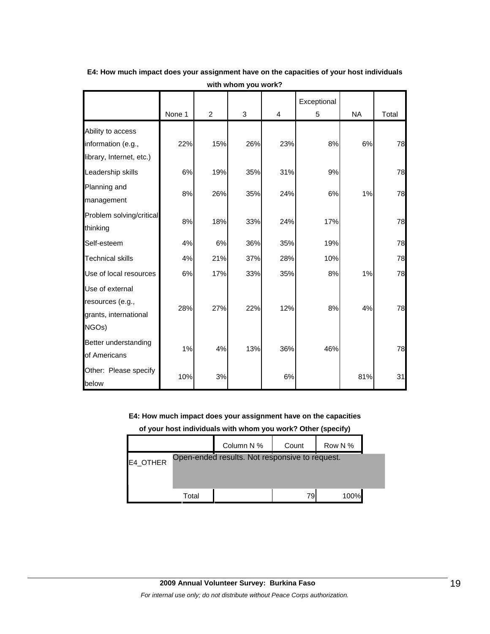|                                                                       |        |                |     |     | Exceptional |           |       |
|-----------------------------------------------------------------------|--------|----------------|-----|-----|-------------|-----------|-------|
|                                                                       | None 1 | $\overline{2}$ | 3   | 4   | 5           | <b>NA</b> | Total |
| Ability to access                                                     |        |                |     |     |             |           |       |
| information (e.g.,                                                    | 22%    | 15%            | 26% | 23% | 8%          | 6%        | 78    |
| library, Internet, etc.)                                              |        |                |     |     |             |           |       |
| Leadership skills                                                     | 6%     | 19%            | 35% | 31% | 9%          |           | 78    |
| Planning and<br>management                                            | 8%     | 26%            | 35% | 24% | 6%          | 1%        | 78    |
| Problem solving/critical<br>thinking                                  | 8%     | 18%            | 33% | 24% | 17%         |           | 78    |
| Self-esteem                                                           | 4%     | 6%             | 36% | 35% | 19%         |           | 78    |
| <b>Technical skills</b>                                               | 4%     | 21%            | 37% | 28% | 10%         |           | 78    |
| Use of local resources                                                | 6%     | 17%            | 33% | 35% | 8%          | 1%        | 78    |
| Use of external<br>resources (e.g.,<br>grants, international<br>NGOs) | 28%    | 27%            | 22% | 12% | 8%          | 4%        | 78    |
| Better understanding<br>of Americans                                  | 1%     | 4%             | 13% | 36% | 46%         |           | 78    |
| Other: Please specify<br>below                                        | 10%    | 3%             |     | 6%  |             | 81%       | 31    |

**E4: How much impact does your assignment have on the capacities of your host individuals with whom you work?**

**E4: How much impact does your assignment have on the capacities** 

**of your host individuals with whom you work? Other (specify)**

|          |       | Column N %                                     | Count | Row N % |  |
|----------|-------|------------------------------------------------|-------|---------|--|
| E4_OTHER |       | Open-ended results. Not responsive to request. |       |         |  |
|          |       |                                                |       |         |  |
|          | Total |                                                | 79    | 100%    |  |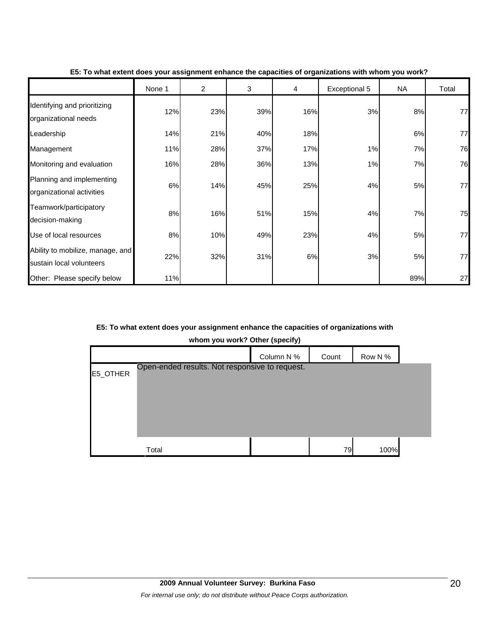|                                                              | None 1 | $\overline{2}$ | 3   | 4   | Exceptional 5 | NA. | Total |
|--------------------------------------------------------------|--------|----------------|-----|-----|---------------|-----|-------|
| Identifying and prioritizing<br>organizational needs         | 12%    | 23%            | 39% | 16% | 3%            | 8%  | 77    |
| Leadership                                                   | 14%    | 21%            | 40% | 18% |               | 6%  | 77    |
| Management                                                   | 11%    | 28%            | 37% | 17% | 1%            | 7%  | 76    |
| Monitoring and evaluation                                    | 16%    | 28%            | 36% | 13% | 1%            | 7%  | 76    |
| Planning and implementing<br>organizational activities       | 6%     | 14%            | 45% | 25% | 4%            | 5%  | 77    |
| Teamwork/participatory<br>decision-making                    | 8%     | 16%            | 51% | 15% | 4%            | 7%  | 75    |
| Use of local resources                                       | 8%     | 10%            | 49% | 23% | 4%            | 5%  | 77    |
| Ability to mobilize, manage, and<br>sustain local volunteers | 22%    | 32%            | 31% | 6%  | 3%            | 5%  | 77    |
| Other: Please specify below                                  | 11%    |                |     |     |               | 89% | 27    |

#### **E5: To what extent does your assignment enhance the capacities of organizations with whom you work?**

### **E5: To what extent does your assignment enhance the capacities of organizations with**

**whom you work? Other (specify)**

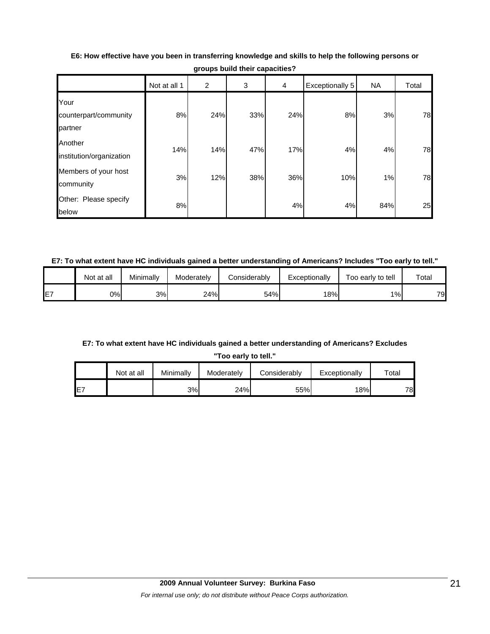|                                          | Not at all 1 | 2   | 3   | 4   | Exceptionally 5 | <b>NA</b> | Total |
|------------------------------------------|--------------|-----|-----|-----|-----------------|-----------|-------|
| Your<br>counterpart/community<br>partner | 8%           | 24% | 33% | 24% | 8%              | 3%        | 78    |
| Another<br>institution/organization      | 14%          | 14% | 47% | 17% | 4%              | 4%        | 78    |
| Members of your host<br>community        | 3%           | 12% | 38% | 36% | 10%             | $1\%$     | 78    |
| Other: Please specify<br>below           | 8%           |     |     | 4%  | 4%              | 84%       | 25    |

**E6: How effective have you been in transferring knowledge and skills to help the following persons or groups build their capacities?**

#### **E7: To what extent have HC individuals gained a better understanding of Americans? Includes "Too early to tell."**

|                 | Not at all | Minimally | Moderatelv | Considerably | Exceptionally | Too early to tell | Total |
|-----------------|------------|-----------|------------|--------------|---------------|-------------------|-------|
| $ -$<br>-<br>ш. | 0%l        | 3%        | 24%        | 54%          | 18%           | 1%                | 79    |

### **E7: To what extent have HC individuals gained a better understanding of Americans? Excludes**

**"Too early to tell."**

|                 | Not at all | Minimallv | Moderately | Considerablv | Exceptionally | $\tau$ otal |
|-----------------|------------|-----------|------------|--------------|---------------|-------------|
| IE <sub>7</sub> |            | 3%        | 24%        | 55%          | 18%           | 78          |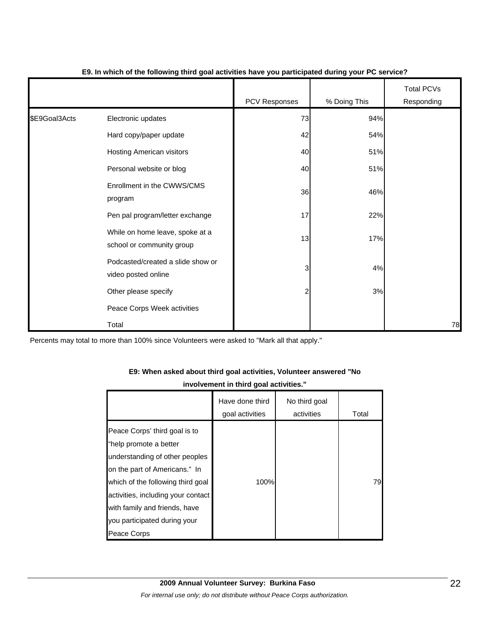|               |                                                              | <b>PCV Responses</b> | % Doing This | <b>Total PCVs</b><br>Responding |
|---------------|--------------------------------------------------------------|----------------------|--------------|---------------------------------|
| \$E9Goal3Acts | Electronic updates                                           | 73                   | 94%          |                                 |
|               | Hard copy/paper update                                       | 42                   | 54%          |                                 |
|               | <b>Hosting American visitors</b>                             | 40                   | 51%          |                                 |
|               | Personal website or blog                                     | 40                   | 51%          |                                 |
|               | Enrollment in the CWWS/CMS<br>program                        | 36                   | 46%          |                                 |
|               | Pen pal program/letter exchange                              | 17                   | 22%          |                                 |
|               | While on home leave, spoke at a<br>school or community group | 13                   | 17%          |                                 |
|               | Podcasted/created a slide show or<br>video posted online     | 3                    | 4%           |                                 |
|               | Other please specify                                         | 2                    | 3%           |                                 |
|               | Peace Corps Week activities                                  |                      |              |                                 |
|               | Total                                                        |                      |              | 78                              |

#### **E9. In which of the following third goal activities have you participated during your PC service?**

Percents may total to more than 100% since Volunteers were asked to "Mark all that apply."

#### **E9: When asked about third goal activities, Volunteer answered "No**

### **involvement in third goal activities."**

|                                                                                                                                                                                                                                                                                       | Have done third<br>goal activities | No third goal<br>activities | Total |
|---------------------------------------------------------------------------------------------------------------------------------------------------------------------------------------------------------------------------------------------------------------------------------------|------------------------------------|-----------------------------|-------|
| Peace Corps' third goal is to<br>"help promote a better<br>understanding of other peoples<br>on the part of Americans." In<br>which of the following third goal<br>activities, including your contact<br>with family and friends, have<br>you participated during your<br>Peace Corps | 100%                               |                             | 79    |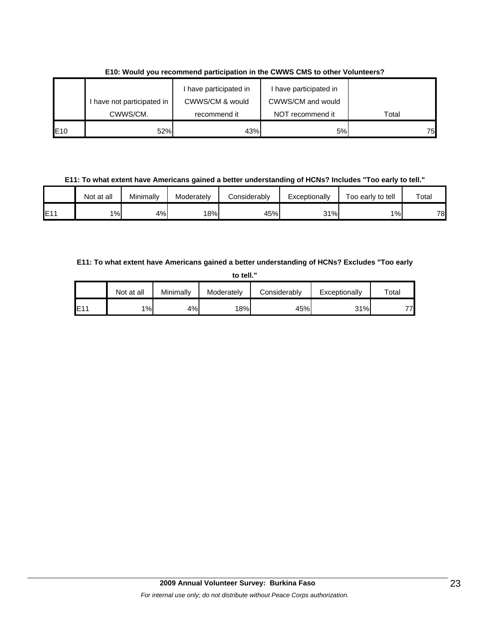|             | I have not participated in | have participated in<br>CWWS/CM & would | I have participated in<br>CWWS/CM and would |       |
|-------------|----------------------------|-----------------------------------------|---------------------------------------------|-------|
|             | CWWS/CM.                   | recommend it                            | NOT recommend it                            | Total |
| <b>IE10</b> | 52%                        | 43%                                     | 5%                                          | 75    |

**E10: Would you recommend participation in the CWWS CMS to other Volunteers?**

**E11: To what extent have Americans gained a better understanding of HCNs? Includes "Too early to tell."**

|     | Not at all | Minimally | Moderately | Considerablv | Exceptionally | Too early to tell | Total |
|-----|------------|-----------|------------|--------------|---------------|-------------------|-------|
| E11 | $1\%$      | 4%        | 18%        | 45%          | 31%           | 1%                | 78    |

### **E11: To what extent have Americans gained a better understanding of HCNs? Excludes "Too early**

| ш<br>٠<br>۹<br>× |
|------------------|
|------------------|

|     | Not at all | Minimally | Moderately | Considerably | Exceptionally | $\tau$ otal |
|-----|------------|-----------|------------|--------------|---------------|-------------|
| E11 | 1%         | 4%        | 18%        | 45%          | 31%           | 77          |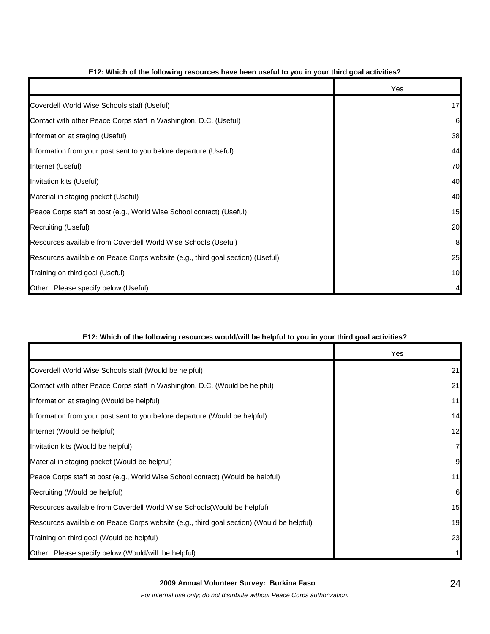|                                                                                | Yes |
|--------------------------------------------------------------------------------|-----|
| Coverdell World Wise Schools staff (Useful)                                    | 17  |
| Contact with other Peace Corps staff in Washington, D.C. (Useful)              | 6   |
| Information at staging (Useful)                                                | 38  |
| Information from your post sent to you before departure (Useful)               | 44  |
| Internet (Useful)                                                              | 70  |
| Invitation kits (Useful)                                                       | 40  |
| Material in staging packet (Useful)                                            | 40  |
| Peace Corps staff at post (e.g., World Wise School contact) (Useful)           | 15  |
| Recruiting (Useful)                                                            | 20  |
| Resources available from Coverdell World Wise Schools (Useful)                 | 8   |
| Resources available on Peace Corps website (e.g., third goal section) (Useful) | 25  |
| Training on third goal (Useful)                                                | 10  |
| Other: Please specify below (Useful)                                           |     |

### **E12: Which of the following resources have been useful to you in your third goal activities?**

#### **E12: Which of the following resources would/will be helpful to you in your third goal activities?**

|                                                                                          | Yes            |
|------------------------------------------------------------------------------------------|----------------|
| Coverdell World Wise Schools staff (Would be helpful)                                    | 21             |
| Contact with other Peace Corps staff in Washington, D.C. (Would be helpful)              | 21             |
| Information at staging (Would be helpful)                                                | 11             |
| Information from your post sent to you before departure (Would be helpful)               | 14             |
| Internet (Would be helpful)                                                              | 12             |
| Invitation kits (Would be helpful)                                                       | $\overline{7}$ |
| Material in staging packet (Would be helpful)                                            | 9              |
| Peace Corps staff at post (e.g., World Wise School contact) (Would be helpful)           | 11             |
| Recruiting (Would be helpful)                                                            | 6              |
| Resources available from Coverdell World Wise Schools (Would be helpful)                 | 15             |
| Resources available on Peace Corps website (e.g., third goal section) (Would be helpful) | 19             |
| Training on third goal (Would be helpful)                                                | 23             |
| Other: Please specify below (Would/will be helpful)                                      |                |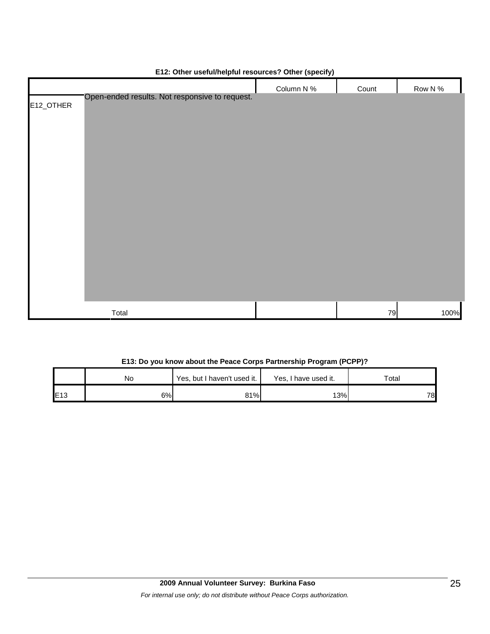|           |                                                | Column N % | Count | Row N % |
|-----------|------------------------------------------------|------------|-------|---------|
| E12_OTHER | Open-ended results. Not responsive to request. |            |       |         |
|           |                                                |            |       |         |
|           |                                                |            |       |         |
|           |                                                |            |       |         |
|           |                                                |            |       |         |
|           |                                                |            |       |         |
|           |                                                |            |       |         |
|           |                                                |            |       |         |
|           |                                                |            |       |         |
|           |                                                |            |       |         |
|           |                                                |            |       |         |
|           |                                                |            |       |         |
|           |                                                |            |       |         |
|           |                                                |            |       |         |
|           | Total                                          |            | 79    | 100%    |

#### **E12: Other useful/helpful resources? Other (specify)**

#### **E13: Do you know about the Peace Corps Partnership Program (PCPP)?**

|                 | No  | Yes, but I haven't used it. | Yes, I have used it. | Total |
|-----------------|-----|-----------------------------|----------------------|-------|
| E <sub>13</sub> | 6%I | 81%                         | 13%                  | 78    |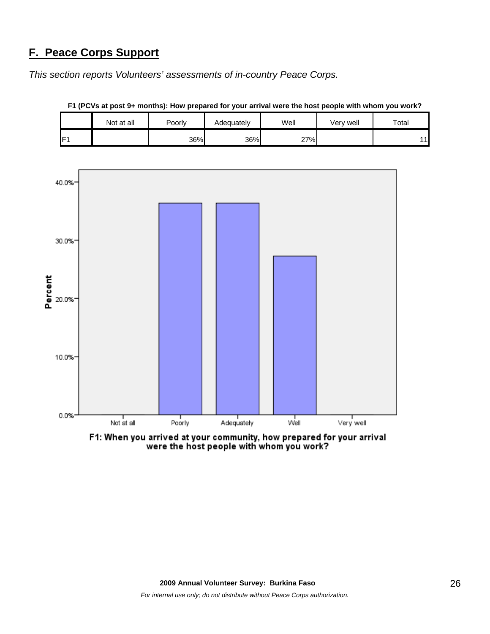# **F. Peace Corps Support**

*This section reports Volunteers' assessments of in-country Peace Corps.* 





**F1 (PCVs at post 9+ months): How prepared for your arrival were the host people with whom you work?**

F1: When you arrived at your community, how prepared for your arrival were the host people with whom you work?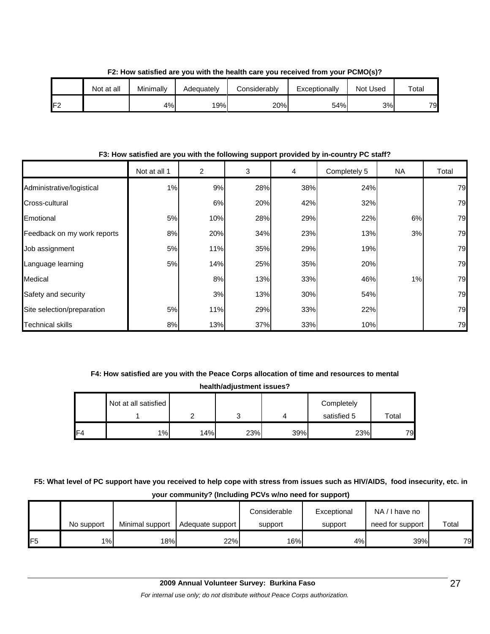|     | Not at all | Minimally | Adequatelv | Considerably | Exceptionally | <b>Not Used</b> | $\tau$ <sub>otal</sub> |
|-----|------------|-----------|------------|--------------|---------------|-----------------|------------------------|
| IF2 |            | 4%        | 19%        | 20%          | 54%           | 3%              | 79                     |

**F2: How satisfied are you with the health care you received from your PCMO(s)?**

**F3: How satisfied are you with the following support provided by in-country PC staff?**

|                             | Not at all 1 | $\overline{2}$ | 3   | $\overline{4}$ | Completely 5 | NA. | Total |
|-----------------------------|--------------|----------------|-----|----------------|--------------|-----|-------|
| Administrative/logistical   | 1%           | 9%             | 28% | 38%            | 24%          |     | 79    |
| Cross-cultural              |              | 6%             | 20% | 42%            | 32%          |     | 79    |
| Emotional                   | 5%           | 10%            | 28% | 29%            | 22%          | 6%  | 79    |
| Feedback on my work reports | 8%           | 20%            | 34% | 23%            | 13%          | 3%  | 79    |
| Job assignment              | 5%           | 11%            | 35% | 29%            | 19%          |     | 79    |
| Language learning           | 5%           | 14%            | 25% | 35%            | 20%          |     | 79    |
| Medical                     |              | 8%             | 13% | 33%            | 46%          | 1%  | 79    |
| Safety and security         |              | 3%             | 13% | 30%            | 54%          |     | 79    |
| Site selection/preparation  | 5%           | 11%            | 29% | 33%            | 22%          |     | 79    |
| <b>Technical skills</b>     | 8%           | 13%            | 37% | 33%            | 10%          |     | 79    |

# **F4: How satisfied are you with the Peace Corps allocation of time and resources to mental**

**health/adjustment issues?**

|     | Not at all satisfied |     |        |     | Completely  |       |
|-----|----------------------|-----|--------|-----|-------------|-------|
|     |                      |     | ◠<br>ັ |     | satisfied 5 | Total |
| IF4 | 1%                   | 14% | 23%    | 39% | 23%         | 79    |

**F5: What level of PC support have you received to help cope with stress from issues such as HIV/AIDS, food insecurity, etc. in your community? (Including PCVs w/no need for support)**

|                 | No support | Minimal support | Adequate support | Considerable<br>support | Exceptional<br>support | NA/I have no<br>need for support | Total |
|-----------------|------------|-----------------|------------------|-------------------------|------------------------|----------------------------------|-------|
| IF <sub>5</sub> | $1\%$      | 18%l            | 22%              | 16%                     | 4%                     | 39%                              | 79    |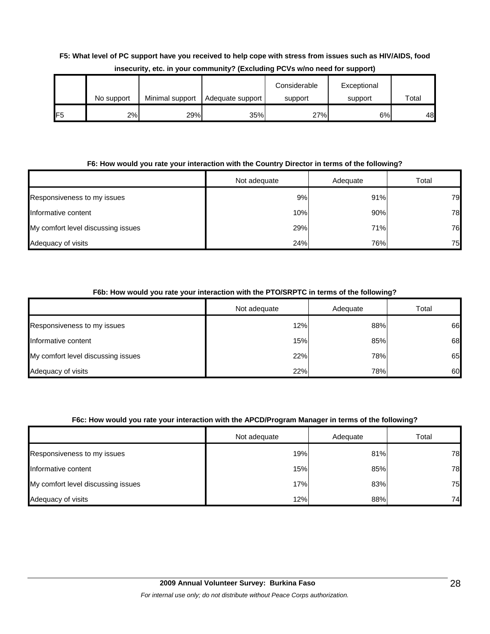# **F5: What level of PC support have you received to help cope with stress from issues such as HIV/AIDS, food insecurity, etc. in your community? (Excluding PCVs w/no need for support)**

|     |            |                 |                  | Considerable | Exceptional |       |
|-----|------------|-----------------|------------------|--------------|-------------|-------|
|     | No support | Minimal support | Adequate support | support      | support     | Total |
| IF5 | 2%         | 29%             | 35%              | 27%          | 6%          | 48    |

### **F6: How would you rate your interaction with the Country Director in terms of the following?**

|                                    | Not adequate | Adequate | Total |
|------------------------------------|--------------|----------|-------|
| Responsiveness to my issues        | 9%           | 91%      | 79    |
| Informative content                | 10%          | 90%      | 78    |
| My comfort level discussing issues | 29%          | 71%      | 76    |
| Adequacy of visits                 | 24%          | 76%      | 75    |

### **F6b: How would you rate your interaction with the PTO/SRPTC in terms of the following?**

|                                    | Not adequate | Adequate | Total |
|------------------------------------|--------------|----------|-------|
| Responsiveness to my issues        | 12%          | 88%      | 66    |
| Informative content                | 15%          | 85%      | 68    |
| My comfort level discussing issues | 22%          | 78%      | 65    |
| Adequacy of visits                 | 22%          | 78%      | 60    |

#### **F6c: How would you rate your interaction with the APCD/Program Manager in terms of the following?**

|                                    | Not adequate | Adequate | Total |
|------------------------------------|--------------|----------|-------|
| Responsiveness to my issues        | 19%          | 81%      | 78    |
| Informative content                | 15%          | 85%      | 78    |
| My comfort level discussing issues | 17%          | 83%      | 75    |
| Adequacy of visits                 | 12%          | 88%      | 74    |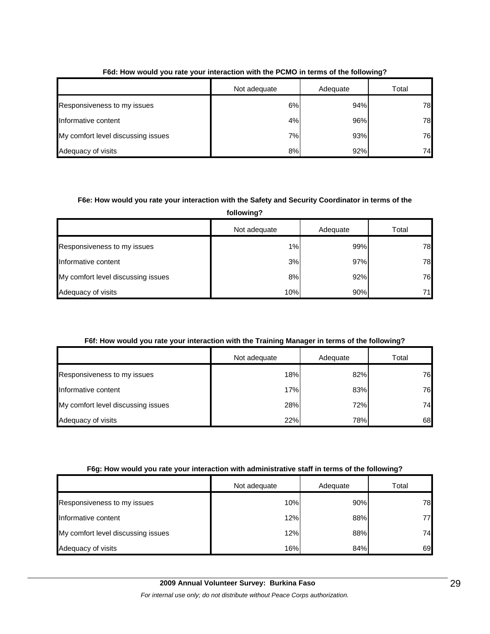|                                    | Not adequate | Adequate | Total |
|------------------------------------|--------------|----------|-------|
| Responsiveness to my issues        | 6%           | 94%      | 78    |
| Informative content                | 4%           | 96%      | 78    |
| My comfort level discussing issues | 7%           | 93%      | 76    |
| Adequacy of visits                 | 8%           | 92%      | 74    |

#### **F6d: How would you rate your interaction with the PCMO in terms of the following?**

### **F6e: How would you rate your interaction with the Safety and Security Coordinator in terms of the**

**following?**

|                                    | Not adequate | Adequate | Total |
|------------------------------------|--------------|----------|-------|
| Responsiveness to my issues        | $1\%$        | 99%      | 78    |
| Informative content                | 3%           | 97%      | 78    |
| My comfort level discussing issues | 8%           | 92%      | 76    |
| Adequacy of visits                 | 10%          | 90%      | 71    |

#### **F6f: How would you rate your interaction with the Training Manager in terms of the following?**

|                                    | Not adequate | Adequate | Total |
|------------------------------------|--------------|----------|-------|
| Responsiveness to my issues        | 18%          | 82%      | 76    |
| Informative content                | 17%          | 83%      | 76    |
| My comfort level discussing issues | 28%          | 72%      | 74    |
| Adequacy of visits                 | 22%          | 78%      | 68    |

#### **F6g: How would you rate your interaction with administrative staff in terms of the following?**

|                                    | Not adequate | Adequate | Total |
|------------------------------------|--------------|----------|-------|
| Responsiveness to my issues        | 10%          | 90%      | 78    |
| Informative content                | 12%          | 88%      | 77    |
| My comfort level discussing issues | 12%          | 88%      | 74    |
| Adequacy of visits                 | 16%          | 84%      | 69    |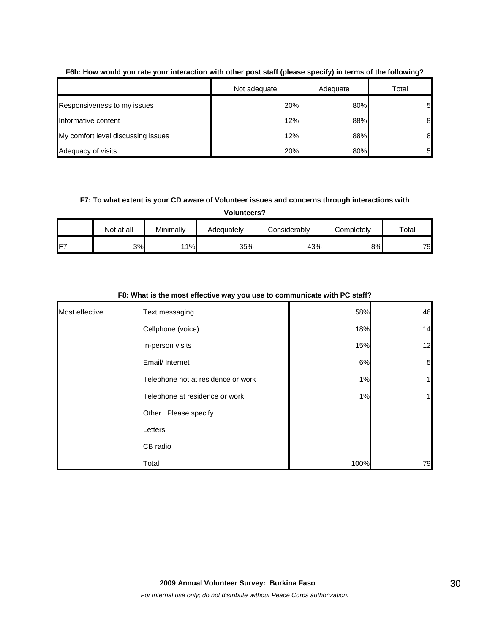|                                    | Not adequate | Adequate | Total |
|------------------------------------|--------------|----------|-------|
| Responsiveness to my issues        | 20%          | 80%      | 51    |
| Informative content                | 12%          | 88%      | 8     |
| My comfort level discussing issues | 12%          | 88%      | 8     |
| Adequacy of visits                 | 20%          | 80%      | 5     |

#### **F6h: How would you rate your interaction with other post staff (please specify) in terms of the following?**

#### **F7: To what extent is your CD aware of Volunteer issues and concerns through interactions with**

**Volunteers?**

|                 | Not at all | Minimally | Adequately | Considerably | Completely | Total |
|-----------------|------------|-----------|------------|--------------|------------|-------|
| IF <sub>7</sub> | 3%         | 11%       | 35%        | 43%          | 8%I        | 79    |

|                | , ,                                |      |                 |
|----------------|------------------------------------|------|-----------------|
| Most effective | Text messaging                     | 58%  | 46              |
|                | Cellphone (voice)                  | 18%  | 14              |
|                | In-person visits                   | 15%  | 12              |
|                | Email/ Internet                    | 6%   | $5\overline{a}$ |
|                | Telephone not at residence or work | 1%   | $\mathbf{1}$    |
|                | Telephone at residence or work     | 1%   | $\mathbf{1}$    |
|                | Other. Please specify              |      |                 |
|                | Letters                            |      |                 |
|                | CB radio                           |      |                 |
|                | Total                              | 100% | 79              |

#### **F8: What is the most effective way you use to communicate with PC staff?**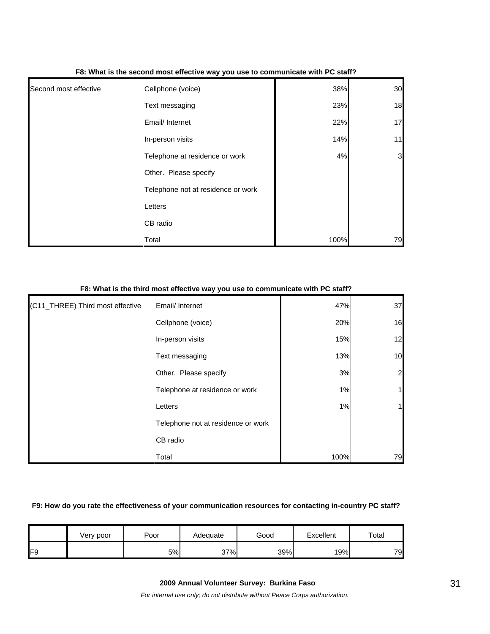|                       | . .                                |      |    |
|-----------------------|------------------------------------|------|----|
| Second most effective | Cellphone (voice)                  | 38%  | 30 |
|                       | Text messaging                     | 23%  | 18 |
|                       | Email/ Internet                    | 22%  | 17 |
|                       | In-person visits                   | 14%  | 11 |
|                       | Telephone at residence or work     | 4%   | 3  |
|                       | Other. Please specify              |      |    |
|                       | Telephone not at residence or work |      |    |
|                       | Letters                            |      |    |
|                       | CB radio                           |      |    |
|                       | Total                              | 100% | 79 |

#### **F8: What is the second most effective way you use to communicate with PC staff?**

### **F8: What is the third most effective way you use to communicate with PC staff?**

| (C11_THREE) Third most effective | Email/ Internet                    | 47%  | 37             |
|----------------------------------|------------------------------------|------|----------------|
|                                  | Cellphone (voice)                  | 20%  | 16             |
|                                  | In-person visits                   | 15%  | 12             |
|                                  | Text messaging                     | 13%  | 10             |
|                                  | Other. Please specify              | 3%   | $\overline{c}$ |
|                                  | Telephone at residence or work     | 1%   |                |
|                                  | Letters                            | 1%   |                |
|                                  | Telephone not at residence or work |      |                |
|                                  | CB radio                           |      |                |
|                                  | Total                              | 100% | 79             |

#### **F9: How do you rate the effectiveness of your communication resources for contacting in-country PC staff?**

|     | Very poor | Poor | Adequate | Good<br>Excellent |     | Total |  |
|-----|-----------|------|----------|-------------------|-----|-------|--|
| IF9 |           | 5%l  | 37%      | 39%               | 19% | 79    |  |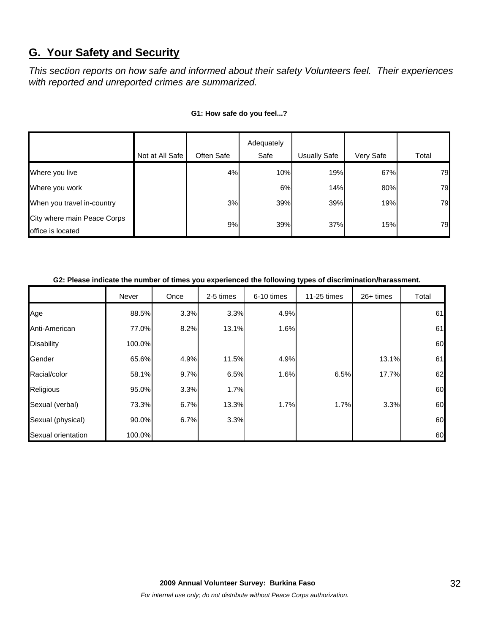# **G. Your Safety and Security**

*This section reports on how safe and informed about their safety Volunteers feel. Their experiences with reported and unreported crimes are summarized.* 

|                                                  |                 |            | Adequately |                     |           |       |
|--------------------------------------------------|-----------------|------------|------------|---------------------|-----------|-------|
|                                                  | Not at All Safe | Often Safe | Safe       | <b>Usually Safe</b> | Very Safe | Total |
| Where you live                                   |                 | 4%         | 10%        | 19%                 | 67%       | 79    |
| Where you work                                   |                 |            | 6%         | 14%                 | 80%       | 79    |
| When you travel in-country                       |                 | 3%         | 39%        | 39%                 | 19%       | 79    |
| City where main Peace Corps<br>office is located |                 | 9%         | 39%        | 37%                 | 15%       | 79    |

#### **G1: How safe do you feel...?**

| G2: Please indicate the number of times you experienced the following types of discrimination/harassment. |  |
|-----------------------------------------------------------------------------------------------------------|--|

|                    | Never  | Once | 2-5 times | 6-10 times | 11-25 times | 26+ times | Total |
|--------------------|--------|------|-----------|------------|-------------|-----------|-------|
| Age                | 88.5%  | 3.3% | 3.3%      | 4.9%       |             |           | 61    |
| Anti-American      | 77.0%  | 8.2% | 13.1%     | 1.6%       |             |           | 61    |
| <b>Disability</b>  | 100.0% |      |           |            |             |           | 60    |
| Gender             | 65.6%  | 4.9% | 11.5%     | 4.9%       |             | 13.1%     | 61    |
| Racial/color       | 58.1%  | 9.7% | 6.5%      | 1.6%       | 6.5%        | 17.7%     | 62    |
| Religious          | 95.0%  | 3.3% | 1.7%      |            |             |           | 60    |
| Sexual (verbal)    | 73.3%  | 6.7% | 13.3%     | 1.7%       | 1.7%        | 3.3%      | 60    |
| Sexual (physical)  | 90.0%  | 6.7% | 3.3%      |            |             |           | 60    |
| Sexual orientation | 100.0% |      |           |            |             |           | 60    |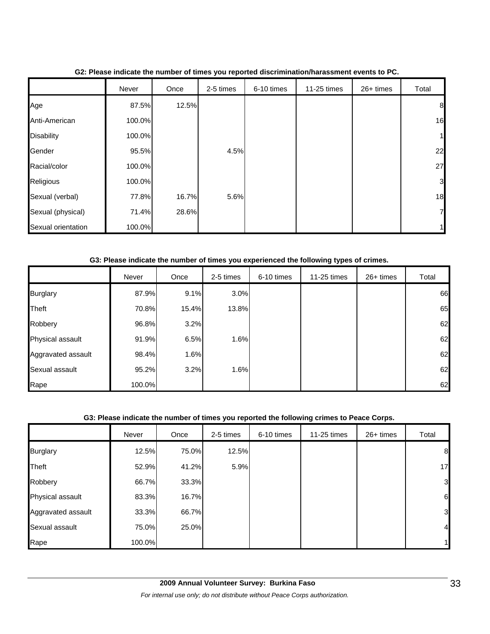|                    | Never  | Once  | 2-5 times | 6-10 times | 11-25 times | 26+ times | Total        |
|--------------------|--------|-------|-----------|------------|-------------|-----------|--------------|
| Age                | 87.5%  | 12.5% |           |            |             |           | 8            |
| Anti-American      | 100.0% |       |           |            |             |           | 16           |
| <b>Disability</b>  | 100.0% |       |           |            |             |           | $\mathbf{1}$ |
| Gender             | 95.5%  |       | 4.5%      |            |             |           | 22           |
| Racial/color       | 100.0% |       |           |            |             |           | 27           |
| Religious          | 100.0% |       |           |            |             |           | 3            |
| Sexual (verbal)    | 77.8%  | 16.7% | 5.6%      |            |             |           | 18           |
| Sexual (physical)  | 71.4%  | 28.6% |           |            |             |           | $\mathbf{Z}$ |
| Sexual orientation | 100.0% |       |           |            |             |           | 1            |

#### **G2: Please indicate the number of times you reported discrimination/harassment events to PC.**

#### **G3: Please indicate the number of times you experienced the following types of crimes.**

|                    | Never  | Once  | 2-5 times | 6-10 times | 11-25 times | 26+ times | Total |
|--------------------|--------|-------|-----------|------------|-------------|-----------|-------|
| Burglary           | 87.9%  | 9.1%  | 3.0%      |            |             |           | 66    |
| <b>Theft</b>       | 70.8%  | 15.4% | 13.8%     |            |             |           | 65    |
| Robbery            | 96.8%  | 3.2%  |           |            |             |           | 62    |
| Physical assault   | 91.9%  | 6.5%  | 1.6%      |            |             |           | 62    |
| Aggravated assault | 98.4%  | 1.6%  |           |            |             |           | 62    |
| Sexual assault     | 95.2%  | 3.2%  | 1.6%      |            |             |           | 62    |
| Rape               | 100.0% |       |           |            |             |           | 62    |

#### **G3: Please indicate the number of times you reported the following crimes to Peace Corps.**

|                    | Never  | Once  | 2-5 times | 6-10 times | 11-25 times | 26+ times | Total          |
|--------------------|--------|-------|-----------|------------|-------------|-----------|----------------|
| <b>Burglary</b>    | 12.5%  | 75.0% | 12.5%     |            |             |           | 8              |
| Theft              | 52.9%  | 41.2% | 5.9%      |            |             |           | 17             |
| Robbery            | 66.7%  | 33.3% |           |            |             |           | 3              |
| Physical assault   | 83.3%  | 16.7% |           |            |             |           | 6              |
| Aggravated assault | 33.3%  | 66.7% |           |            |             |           | 3              |
| Sexual assault     | 75.0%  | 25.0% |           |            |             |           | $\overline{4}$ |
| Rape               | 100.0% |       |           |            |             |           | 1              |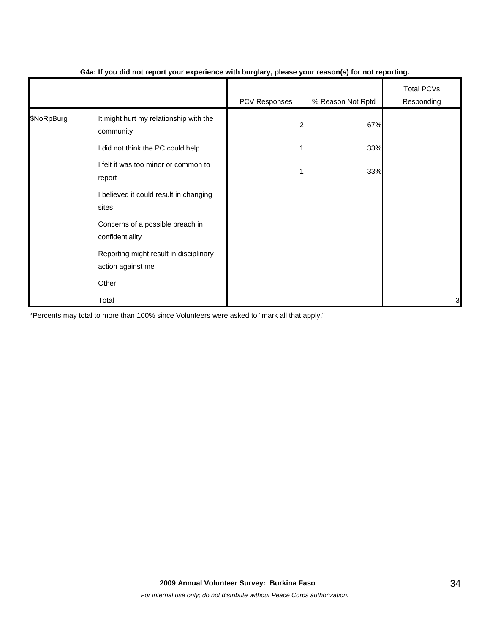|            |                                                             | -             | $\mathbf{v}$      | . .                             |
|------------|-------------------------------------------------------------|---------------|-------------------|---------------------------------|
|            |                                                             | PCV Responses | % Reason Not Rptd | <b>Total PCVs</b><br>Responding |
| \$NoRpBurg | It might hurt my relationship with the<br>community         |               | 67%               |                                 |
|            | I did not think the PC could help                           |               | 33%               |                                 |
|            | I felt it was too minor or common to<br>report              |               | 33%               |                                 |
|            | I believed it could result in changing<br>sites             |               |                   |                                 |
|            | Concerns of a possible breach in<br>confidentiality         |               |                   |                                 |
|            | Reporting might result in disciplinary<br>action against me |               |                   |                                 |
|            | Other                                                       |               |                   |                                 |
|            | Total                                                       |               |                   | 3                               |

#### **G4a: If you did not report your experience with burglary, please your reason(s) for not reporting.**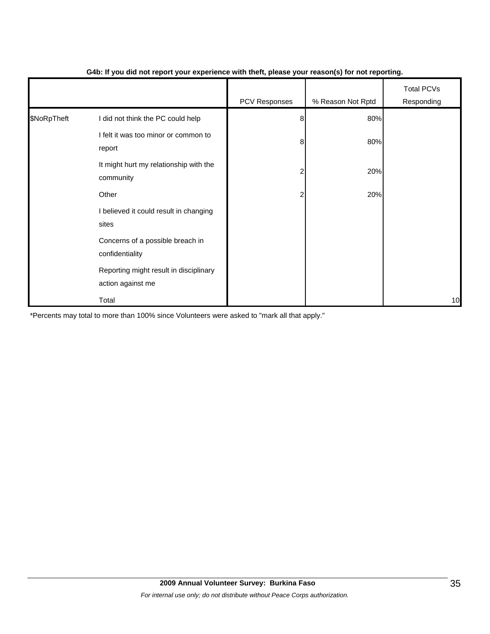|             |                                                             | $\cdot$ .     | $\cdot$ $\cdot$   |                                 |
|-------------|-------------------------------------------------------------|---------------|-------------------|---------------------------------|
|             |                                                             | PCV Responses | % Reason Not Rptd | <b>Total PCVs</b><br>Responding |
| \$NoRpTheft | I did not think the PC could help                           | 8             | 80%               |                                 |
|             | I felt it was too minor or common to<br>report              | 8             | 80%               |                                 |
|             | It might hurt my relationship with the<br>community         | 2             | 20%               |                                 |
|             | Other                                                       | 2             | 20%               |                                 |
|             | I believed it could result in changing<br>sites             |               |                   |                                 |
|             | Concerns of a possible breach in<br>confidentiality         |               |                   |                                 |
|             | Reporting might result in disciplinary<br>action against me |               |                   |                                 |
|             | Total                                                       |               |                   | 10                              |

#### **G4b: If you did not report your experience with theft, please your reason(s) for not reporting.**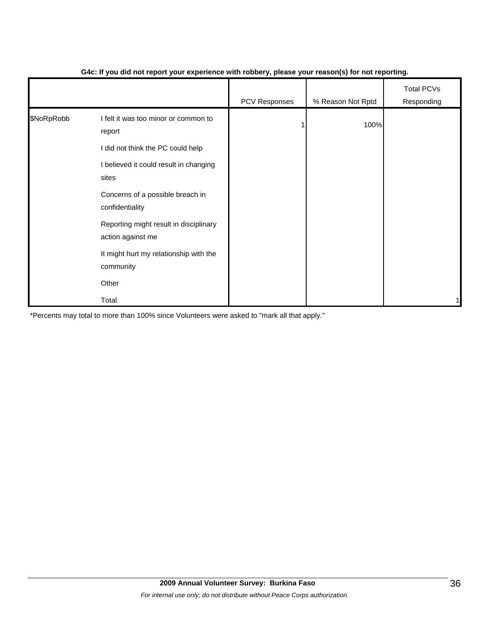|            |                                                             | PCV Responses | % Reason Not Rptd | <b>Total PCVs</b><br>Responding |
|------------|-------------------------------------------------------------|---------------|-------------------|---------------------------------|
| \$NoRpRobb | I felt it was too minor or common to<br>report              |               | 100%              |                                 |
|            | I did not think the PC could help                           |               |                   |                                 |
|            | I believed it could result in changing<br>sites             |               |                   |                                 |
|            | Concerns of a possible breach in<br>confidentiality         |               |                   |                                 |
|            | Reporting might result in disciplinary<br>action against me |               |                   |                                 |
|            | It might hurt my relationship with the<br>community         |               |                   |                                 |
|            | Other                                                       |               |                   |                                 |
|            | Total                                                       |               |                   | 1                               |

#### **G4c: If you did not report your experience with robbery, please your reason(s) for not reporting.**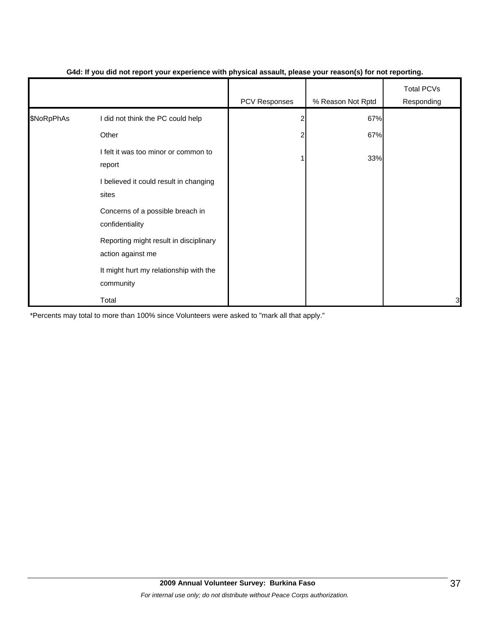|            |                                                             | . .           | $\mathbf{v}$      |                                 |
|------------|-------------------------------------------------------------|---------------|-------------------|---------------------------------|
|            |                                                             | PCV Responses | % Reason Not Rptd | <b>Total PCVs</b><br>Responding |
| \$NoRpPhAs | I did not think the PC could help                           |               | 67%               |                                 |
|            | Other                                                       |               | 67%               |                                 |
|            | I felt it was too minor or common to<br>report              |               | 33%               |                                 |
|            | I believed it could result in changing<br>sites             |               |                   |                                 |
|            | Concerns of a possible breach in<br>confidentiality         |               |                   |                                 |
|            | Reporting might result in disciplinary<br>action against me |               |                   |                                 |
|            | It might hurt my relationship with the<br>community         |               |                   |                                 |
|            | Total                                                       |               |                   | 3                               |

#### **G4d: If you did not report your experience with physical assault, please your reason(s) for not reporting.**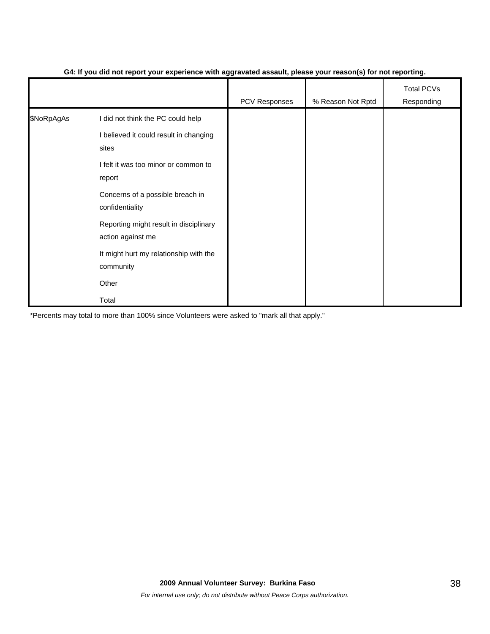|            |                                                             | ັ<br>. .      | $\mathbf{v}$      |                                 |
|------------|-------------------------------------------------------------|---------------|-------------------|---------------------------------|
|            |                                                             | PCV Responses | % Reason Not Rptd | <b>Total PCVs</b><br>Responding |
| \$NoRpAgAs | I did not think the PC could help                           |               |                   |                                 |
|            | I believed it could result in changing<br>sites             |               |                   |                                 |
|            | I felt it was too minor or common to<br>report              |               |                   |                                 |
|            | Concerns of a possible breach in<br>confidentiality         |               |                   |                                 |
|            | Reporting might result in disciplinary<br>action against me |               |                   |                                 |
|            | It might hurt my relationship with the<br>community         |               |                   |                                 |
|            | Other                                                       |               |                   |                                 |
|            | Total                                                       |               |                   |                                 |

#### **G4: If you did not report your experience with aggravated assault, please your reason(s) for not reporting.**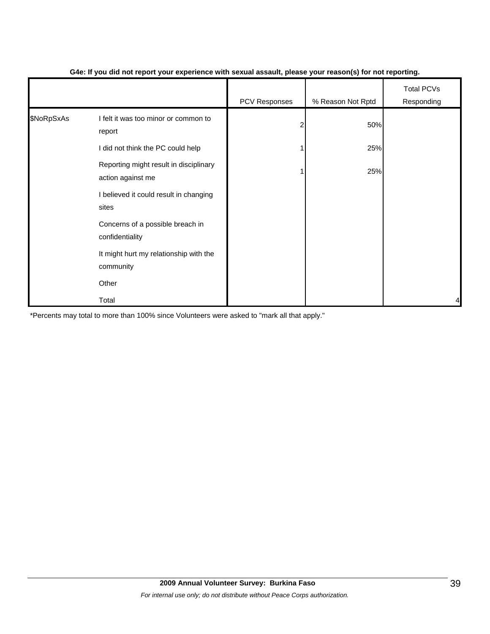|            |                                                             |               | $\mathbf{v}$      |                                 |
|------------|-------------------------------------------------------------|---------------|-------------------|---------------------------------|
|            |                                                             | PCV Responses | % Reason Not Rptd | <b>Total PCVs</b><br>Responding |
| \$NoRpSxAs | I felt it was too minor or common to<br>report              | 2             | 50%               |                                 |
|            | I did not think the PC could help                           |               | 25%               |                                 |
|            | Reporting might result in disciplinary<br>action against me |               | 25%               |                                 |
|            | I believed it could result in changing<br>sites             |               |                   |                                 |
|            | Concerns of a possible breach in<br>confidentiality         |               |                   |                                 |
|            | It might hurt my relationship with the<br>community         |               |                   |                                 |
|            | Other                                                       |               |                   |                                 |
|            | Total                                                       |               |                   | 4                               |

#### **G4e: If you did not report your experience with sexual assault, please your reason(s) for not reporting.**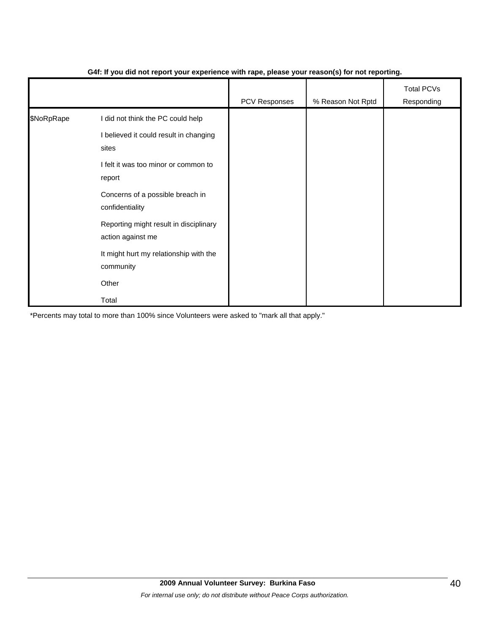|            |                                                             | .             | $\mathbf{v}$      |                                 |
|------------|-------------------------------------------------------------|---------------|-------------------|---------------------------------|
|            |                                                             | PCV Responses | % Reason Not Rptd | <b>Total PCVs</b><br>Responding |
| \$NoRpRape | I did not think the PC could help                           |               |                   |                                 |
|            | I believed it could result in changing<br>sites             |               |                   |                                 |
|            | I felt it was too minor or common to<br>report              |               |                   |                                 |
|            | Concerns of a possible breach in<br>confidentiality         |               |                   |                                 |
|            | Reporting might result in disciplinary<br>action against me |               |                   |                                 |
|            | It might hurt my relationship with the<br>community         |               |                   |                                 |
|            | Other                                                       |               |                   |                                 |
|            | Total                                                       |               |                   |                                 |

#### **G4f: If you did not report your experience with rape, please your reason(s) for not reporting.**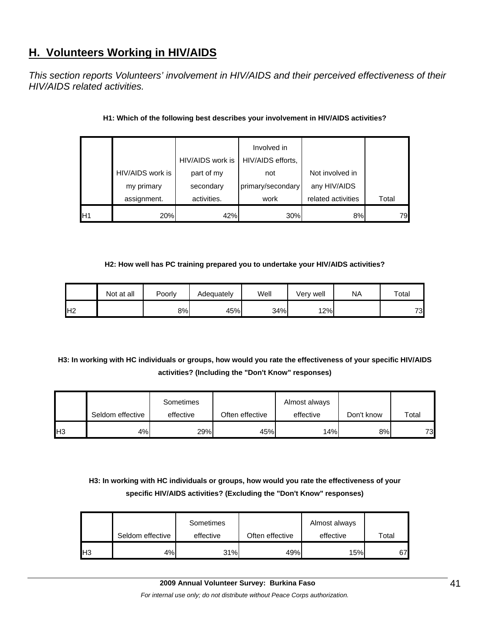# **H. Volunteers Working in HIV/AIDS**

*This section reports Volunteers' involvement in HIV/AIDS and their perceived effectiveness of their HIV/AIDS related activities.* 

|     |                  | HIV/AIDS work is | Involved in<br>HIV/AIDS efforts, |                    |       |
|-----|------------------|------------------|----------------------------------|--------------------|-------|
|     | HIV/AIDS work is | part of my       | not                              | Not involved in    |       |
|     | my primary       | secondary        | primary/secondary                | any HIV/AIDS       |       |
|     | assignment.      | activities.      | work                             | related activities | Total |
| IH1 | 20%              | 42%              | 30%                              | 8%                 | 79    |

#### **H1: Which of the following best describes your involvement in HIV/AIDS activities?**

#### **H2: How well has PC training prepared you to undertake your HIV/AIDS activities?**

|                | Not at all | Poorly | Adequately | Well | Very well | <b>NA</b> | $\tau$ otal |
|----------------|------------|--------|------------|------|-----------|-----------|-------------|
| H <sub>2</sub> |            | 8%     | 45%        | 34%  | 12%       |           | 73          |

# **H3: In working with HC individuals or groups, how would you rate the effectiveness of your specific HIV/AIDS activities? (Including the "Don't Know" responses)**

|     |                  | Sometimes |                 | Almost always |            |       |
|-----|------------------|-----------|-----------------|---------------|------------|-------|
|     | Seldom effective | effective | Often effective | effective     | Don't know | Total |
| IH3 | 4%               | 29%       | 45%             | 14%           | 8%         | 73    |

# **H3: In working with HC individuals or groups, how would you rate the effectiveness of your specific HIV/AIDS activities? (Excluding the "Don't Know" responses)**

|    | Seldom effective | Sometimes<br>effective | Often effective | Almost always<br>effective | $\tau$ otal |
|----|------------------|------------------------|-----------------|----------------------------|-------------|
| H3 | 4%               | 31%                    | 49%             | 15%                        | 67          |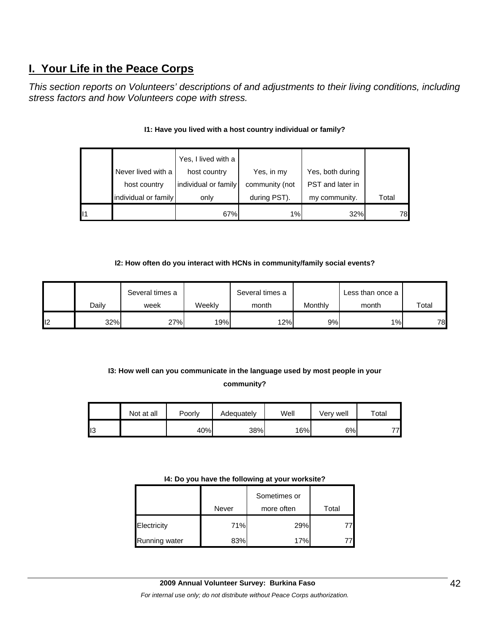# **I. Your Life in the Peace Corps**

*This section reports on Volunteers' descriptions of and adjustments to their living conditions, including stress factors and how Volunteers cope with stress.* 

| 11 | individual or family | only<br>67%                         | during PST).<br>1% | my community.<br>32% | Total<br>78 |
|----|----------------------|-------------------------------------|--------------------|----------------------|-------------|
|    | host country         | individual or family                | community (not     | PST and later in     |             |
|    | Never lived with a   | Yes, I lived with a<br>host country | Yes, in my         | Yes, both during     |             |

## **I1: Have you lived with a host country individual or family?**

#### **I2: How often do you interact with HCNs in community/family social events?**

|     |       | Several times a |        | Several times a |         | Less than once a |       |
|-----|-------|-----------------|--------|-----------------|---------|------------------|-------|
|     | Dailv | week            | Weeklv | month           | Monthly | month            | Total |
| ll2 | 32%   | 27%             | 19%    | 12%             | 9%      | 1%               | 78    |

# **I3: How well can you communicate in the language used by most people in your community?**

|    | Not at all | Poorly | Adequately | Well | Verv well | $\mathop{\mathsf{Total}}$ |
|----|------------|--------|------------|------|-----------|---------------------------|
| טו |            | 40%    | 38%        | 16%  | 6%        | 77.                       |

#### **I4: Do you have the following at your worksite?**

|               |       | Sometimes or |       |
|---------------|-------|--------------|-------|
|               | Never | more often   | Total |
| Electricity   | 71%   | 29%          | 77I   |
| Running water | 83%   | 17%          |       |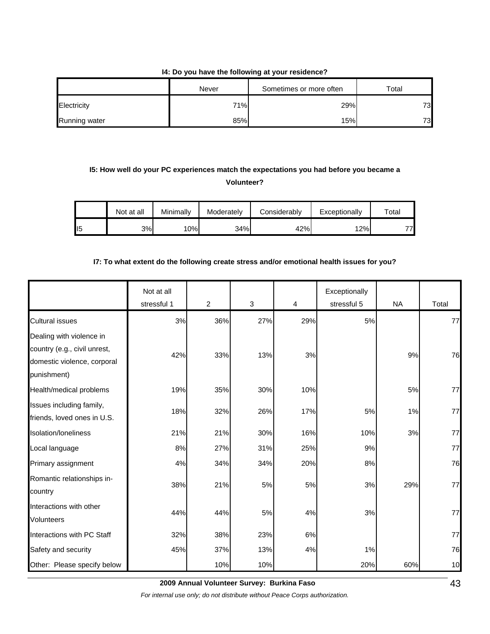#### **I4: Do you have the following at your residence?**

|               | Never | Sometimes or more often | $\tau$ otal |
|---------------|-------|-------------------------|-------------|
| Electricity   | 71%   | 29%                     | 73          |
| Running water | 85%   | 15%                     | 73          |

# **I5: How well do your PC experiences match the expectations you had before you became a Volunteer?**

|                | Not at all | Minimally | Moderately | Considerably | Exceptionally | $\tau$ otal |
|----------------|------------|-----------|------------|--------------|---------------|-------------|
| $\mathsf{II}5$ | 3%         | 10%       | 34%        | 42%          | 12%           | ララ          |

#### **I7: To what extent do the following create stress and/or emotional health issues for you?**

|                                                                                                        | Not at all  |     |     |     | Exceptionally |           |       |
|--------------------------------------------------------------------------------------------------------|-------------|-----|-----|-----|---------------|-----------|-------|
|                                                                                                        | stressful 1 | 2   | 3   | 4   | stressful 5   | <b>NA</b> | Total |
| <b>Cultural issues</b>                                                                                 | 3%          | 36% | 27% | 29% | 5%            |           | 77    |
| Dealing with violence in<br>country (e.g., civil unrest,<br>domestic violence, corporal<br>punishment) | 42%         | 33% | 13% | 3%  |               | 9%        | 76    |
| Health/medical problems                                                                                | 19%         | 35% | 30% | 10% |               | 5%        | 77    |
| Issues including family,<br>friends, loved ones in U.S.                                                | 18%         | 32% | 26% | 17% | 5%            | 1%        | 77    |
| Isolation/Ioneliness                                                                                   | 21%         | 21% | 30% | 16% | 10%           | 3%        | 77    |
| Local language                                                                                         | 8%          | 27% | 31% | 25% | 9%            |           | 77    |
| Primary assignment                                                                                     | 4%          | 34% | 34% | 20% | 8%            |           | 76    |
| Romantic relationships in-<br>country                                                                  | 38%         | 21% | 5%  | 5%  | 3%            | 29%       | 77    |
| Interactions with other<br><b>Volunteers</b>                                                           | 44%         | 44% | 5%  | 4%  | 3%            |           | 77    |
| Interactions with PC Staff                                                                             | 32%         | 38% | 23% | 6%  |               |           | 77    |
| Safety and security                                                                                    | 45%         | 37% | 13% | 4%  | 1%            |           | 76    |
| Other: Please specify below                                                                            |             | 10% | 10% |     | 20%           | 60%       | 10    |

**2009 Annual Volunteer Survey: Burkina Faso** 

*For internal use only; do not distribute without Peace Corps authorization.*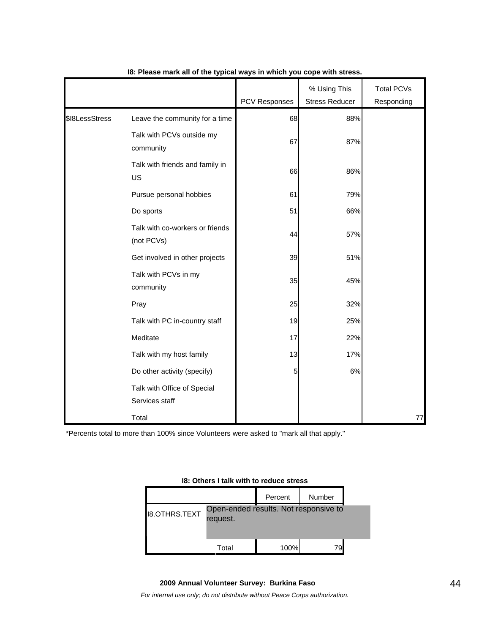|                |                                               |               | % Using This          | <b>Total PCVs</b> |
|----------------|-----------------------------------------------|---------------|-----------------------|-------------------|
|                |                                               | PCV Responses | <b>Stress Reducer</b> | Responding        |
| \$I8LessStress | Leave the community for a time                | 68            | 88%                   |                   |
|                | Talk with PCVs outside my<br>community        | 67            | 87%                   |                   |
|                | Talk with friends and family in<br>US         | 66            | 86%                   |                   |
|                | Pursue personal hobbies                       | 61            | 79%                   |                   |
|                | Do sports                                     | 51            | 66%                   |                   |
|                | Talk with co-workers or friends<br>(not PCVs) | 44            | 57%                   |                   |
|                | Get involved in other projects                | 39            | 51%                   |                   |
|                | Talk with PCVs in my<br>community             | 35            | 45%                   |                   |
|                | Pray                                          | 25            | 32%                   |                   |
|                | Talk with PC in-country staff                 | 19            | 25%                   |                   |
|                | Meditate                                      | 17            | 22%                   |                   |
|                | Talk with my host family                      | 13            | 17%                   |                   |
|                | Do other activity (specify)                   | 5             | $6\%$                 |                   |
|                | Talk with Office of Special<br>Services staff |               |                       |                   |
|                | Total                                         |               |                       | 77                |

#### **I8: Please mark all of the typical ways in which you cope with stress.**

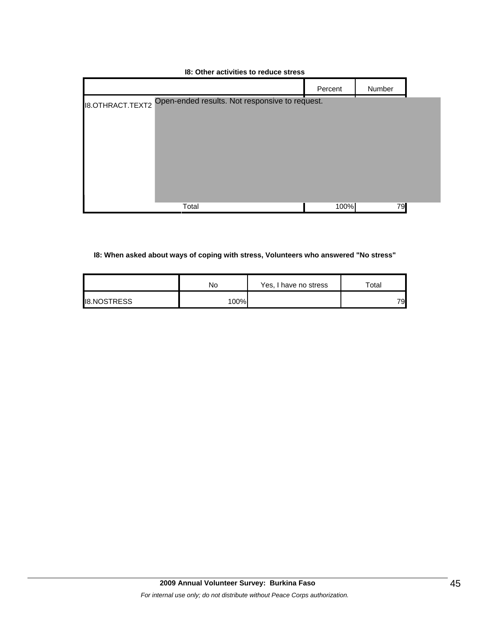### **I8: Other activities to reduce stress**

|                         |                                                | Percent | Number |  |
|-------------------------|------------------------------------------------|---------|--------|--|
| <b>I8.OTHRACT.TEXT2</b> | Open-ended results. Not responsive to request. |         |        |  |
|                         |                                                |         |        |  |
|                         |                                                |         |        |  |
|                         |                                                |         |        |  |
|                         |                                                |         |        |  |
|                         |                                                |         |        |  |
|                         | Total                                          | 100%    | 79     |  |

#### **I8: When asked about ways of coping with stress, Volunteers who answered "No stress"**

|                    | No     | Yes, I have no stress | $\tau$ otal |
|--------------------|--------|-----------------------|-------------|
| <b>I8.NOSTRESS</b> | $00\%$ |                       | 79          |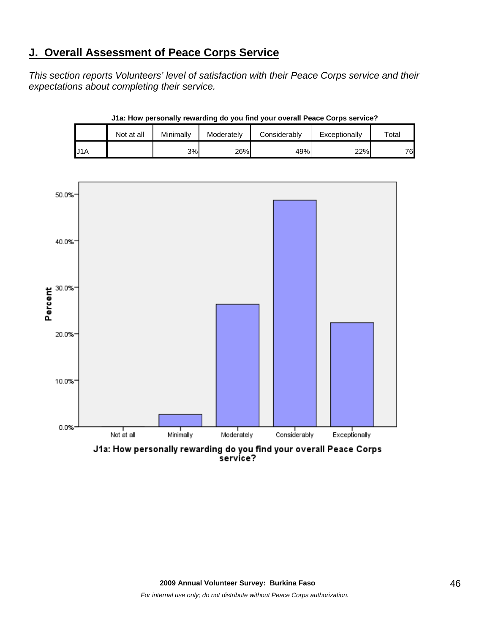# **J. Overall Assessment of Peace Corps Service**

*This section reports Volunteers' level of satisfaction with their Peace Corps service and their expectations about completing their service.* 

|     | Not at all | Minimallv | Moderately | Considerably | Exceptionally | $\tau$ otal |
|-----|------------|-----------|------------|--------------|---------------|-------------|
| J1A |            | 3%        | 26%        | 49%          | 22%           | 76          |

**J1a: How personally rewarding do you find your overall Peace Corps service?**



J1a: How personally rewarding do you find your overall Peace Corps<br>service?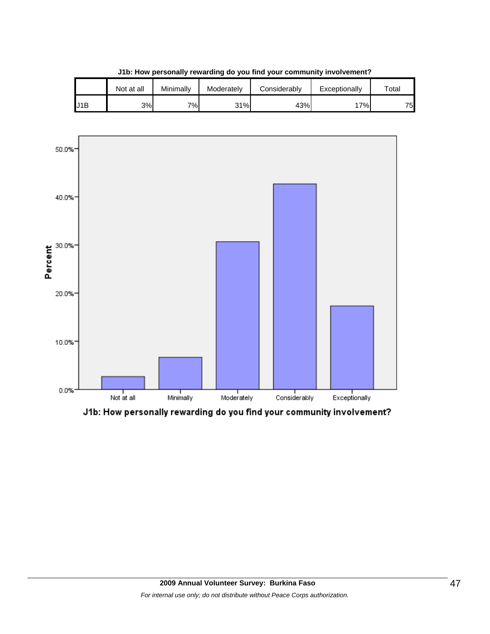|     | Not at all | Minimallv | Moderately | Considerably | Exceptionally | $\tau$ otal |
|-----|------------|-----------|------------|--------------|---------------|-------------|
| J1B | 3%         | 7%        | 31%        | 43%          | $7\%$         | 75.         |

**J1b: How personally rewarding do you find your community involvement?**



J1b: How personally rewarding do you find your community involvement?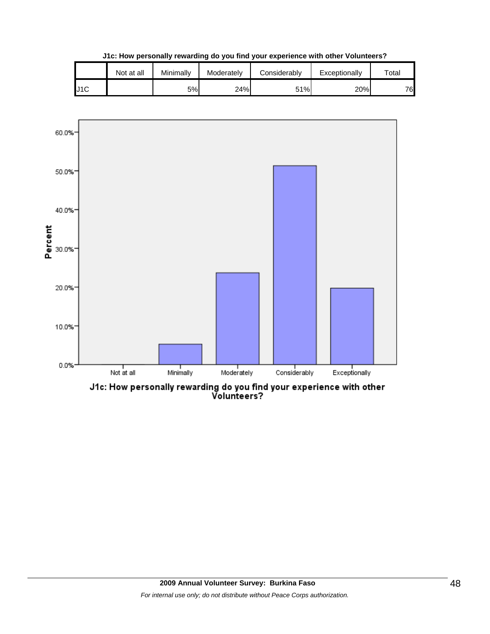

**J1c: How personally rewarding do you find your experience with other Volunteers?**



J1c: How personally rewarding do you find your experience with other<br>Volunteers?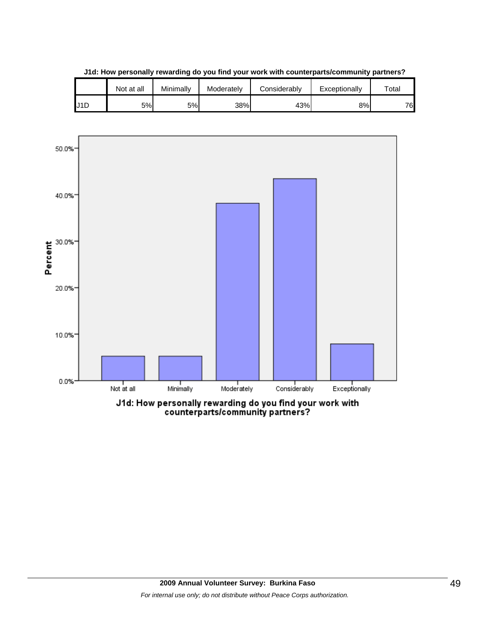

**J1d: How personally rewarding do you find your work with counterparts/community partners?**

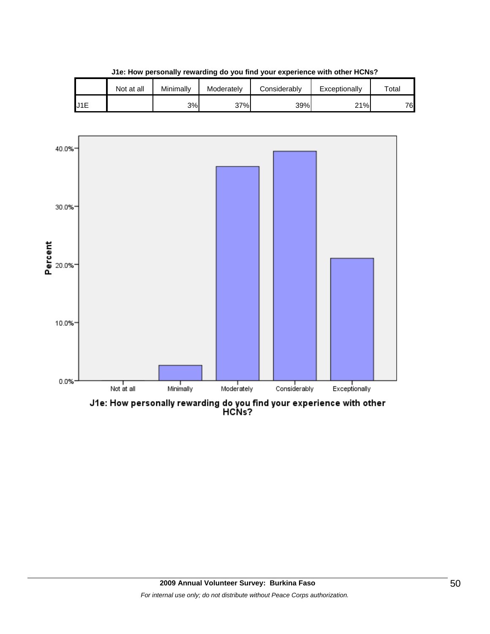

**J1e: How personally rewarding do you find your experience with other HCNs?**

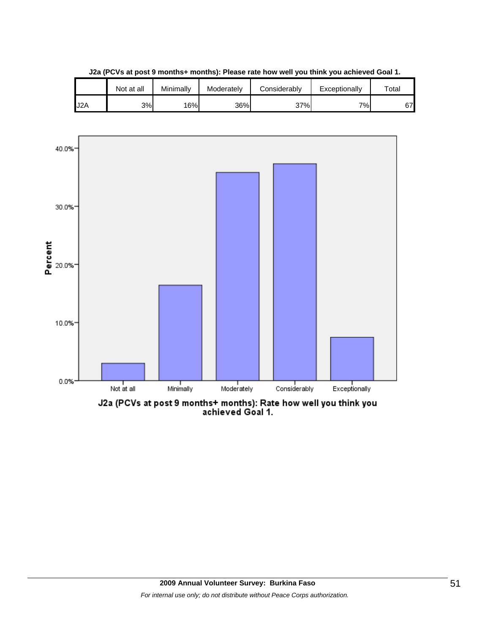|                  | Not at all | Minimally | Moderately | Considerably | Exceptionally | $\tau$ otal |
|------------------|------------|-----------|------------|--------------|---------------|-------------|
| J <sub>2</sub> A | 3%         | 16%       | 36%        | 37%          | 7%            | 67          |

**J2a (PCVs at post 9 months+ months): Please rate how well you think you achieved Goal 1.**



J2a (PCVs at post 9 months+ months): Rate how well you think you<br>achieved Goal 1.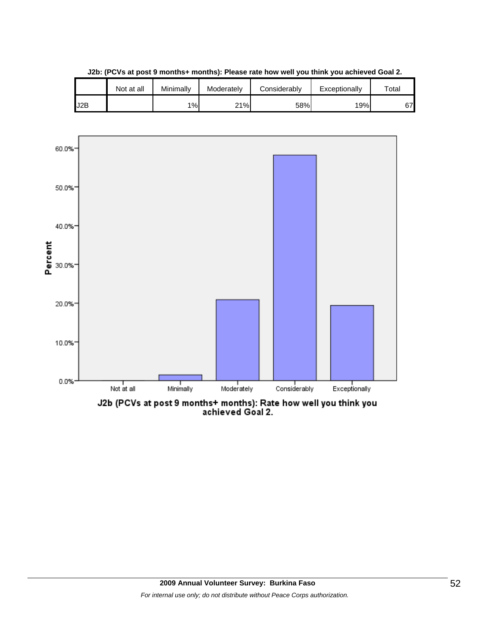

**J2b: (PCVs at post 9 months+ months): Please rate how well you think you achieved Goal 2.**

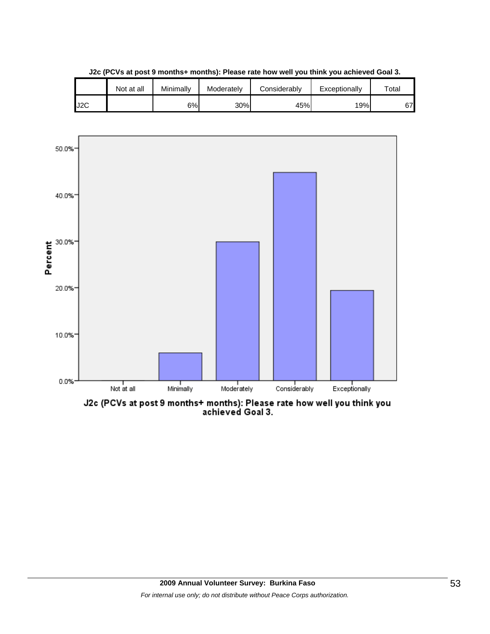

**J2c (PCVs at post 9 months+ months): Please rate how well you think you achieved Goal 3.**



J2c (PCVs at post 9 months+ months): Please rate how well you think you<br>achieved Goal 3.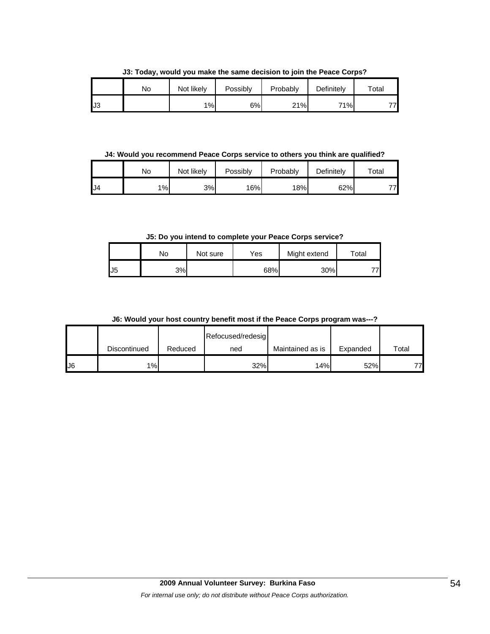**J3: Today, would you make the same decision to join the Peace Corps?**

|     | No | Not likely | Possibly | Probably        | Definitely | Total |
|-----|----|------------|----------|-----------------|------------|-------|
| IJЗ |    | $1\%$      | 6%       | 21%<br>$\sim$ 1 | 71%        | フフト   |

**J4: Would you recommend Peace Corps service to others you think are qualified?**

|    | No | Not likely | Possibly | Probably | Definitely | $\tau$ otal |
|----|----|------------|----------|----------|------------|-------------|
| J4 | 1% | 3%         | 16%      | 18%      | 62%        | 77          |

**J5: Do you intend to complete your Peace Corps service?**

|     | No  | Not sure | Yes | Might extend | $\tau$ otal |
|-----|-----|----------|-----|--------------|-------------|
| IJ5 | 3%l |          | 68% | 30%          | 71          |

**J6: Would your host country benefit most if the Peace Corps program was---?**

|               |              |         | Refocused/redesig |                  |          |             |
|---------------|--------------|---------|-------------------|------------------|----------|-------------|
|               | Discontinued | Reduced | ned               | Maintained as is | Expanded | $\tau$ otal |
| $\mathsf{U}6$ | $1\%$        |         | 32%               | 14%              | 52%      | 771         |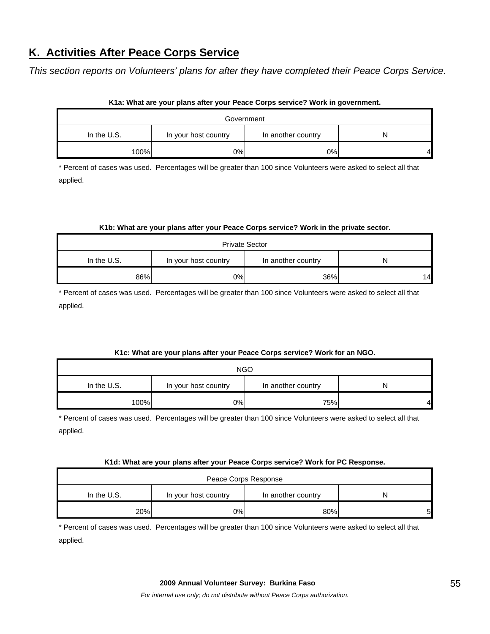# **K. Activities After Peace Corps Service**

*This section reports on Volunteers' plans for after they have completed their Peace Corps Service.* 

|               | Government           |                    |   |
|---------------|----------------------|--------------------|---|
| In the $U.S.$ | In your host country | In another country | N |
| 100%          | $0\%$                | 0%                 |   |

#### **K1a: What are your plans after your Peace Corps service? Work in government.**

\* Percent of cases was used. Percentages will be greater than 100 since Volunteers were asked to select all that applied.

#### **K1b: What are your plans after your Peace Corps service? Work in the private sector.**

| <b>Private Sector</b> |                      |                    |    |  |  |  |
|-----------------------|----------------------|--------------------|----|--|--|--|
| In the $U.S.$         | In your host country | In another country | N  |  |  |  |
| 86%                   | 0%)                  | 36%                | 14 |  |  |  |

\* Percent of cases was used. Percentages will be greater than 100 since Volunteers were asked to select all that applied.

#### **K1c: What are your plans after your Peace Corps service? Work for an NGO.**

| <b>NGO</b>  |                      |                    |   |  |  |  |
|-------------|----------------------|--------------------|---|--|--|--|
| In the U.S. | In your host country | In another country | N |  |  |  |
| 100%        | 0%                   | 75%                | 4 |  |  |  |

\* Percent of cases was used. Percentages will be greater than 100 since Volunteers were asked to select all that applied.

#### **K1d: What are your plans after your Peace Corps service? Work for PC Response.**

| Peace Corps Response                                        |     |     |   |  |
|-------------------------------------------------------------|-----|-----|---|--|
| In the $U.S.$<br>In your host country<br>In another country |     |     |   |  |
| 20%                                                         | 0%l | 80% | 5 |  |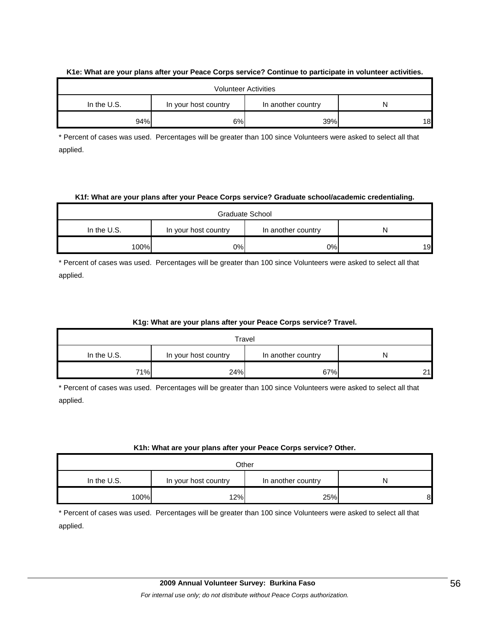|               |                      | <b>Volunteer Activities</b> |    |
|---------------|----------------------|-----------------------------|----|
| In the $U.S.$ | In your host country | In another country          |    |
| 94%           | 6%                   | 39%                         | 18 |

#### **K1e: What are your plans after your Peace Corps service? Continue to participate in volunteer activities.**

\* Percent of cases was used. Percentages will be greater than 100 since Volunteers were asked to select all that applied.

#### **K1f: What are your plans after your Peace Corps service? Graduate school/academic credentialing.**

| Graduate School                                             |       |    |    |  |
|-------------------------------------------------------------|-------|----|----|--|
| In the $U.S.$<br>In another country<br>In your host country |       |    |    |  |
| 100%                                                        | $0\%$ | 0% | 19 |  |

\* Percent of cases was used. Percentages will be greater than 100 since Volunteers were asked to select all that applied.

#### **K1g: What are your plans after your Peace Corps service? Travel.**

| Travel                                                         |     |     |    |  |
|----------------------------------------------------------------|-----|-----|----|--|
| In the U.S.<br>In your host country<br>In another country<br>N |     |     |    |  |
| 71%                                                            | 24% | 67% | つ1 |  |

\* Percent of cases was used. Percentages will be greater than 100 since Volunteers were asked to select all that applied.

#### **K1h: What are your plans after your Peace Corps service? Other.**

| Other                                                     |     |     |   |  |
|-----------------------------------------------------------|-----|-----|---|--|
| In the U.S.<br>In another country<br>In your host country |     |     |   |  |
| 100%                                                      | 12% | 25% | 8 |  |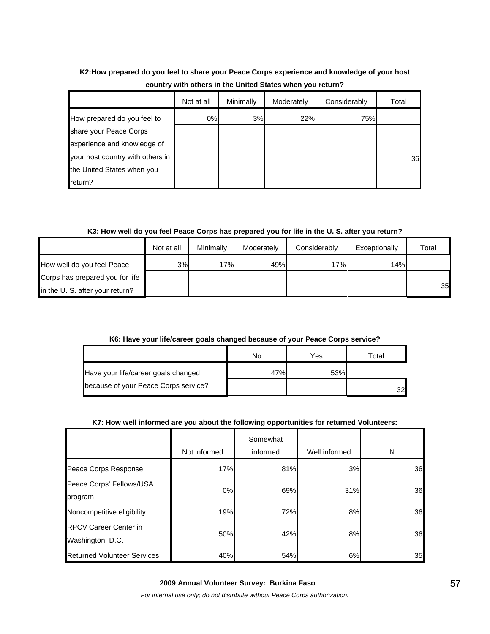## **K2:How prepared do you feel to share your Peace Corps experience and knowledge of your host country with others in the United States when you return?**

|                                  | Not at all | Minimally | Moderately | Considerably | Total |
|----------------------------------|------------|-----------|------------|--------------|-------|
| How prepared do you feel to      | 0%         | 3%        | 22%        | 75%          |       |
| share your Peace Corps           |            |           |            |              |       |
| experience and knowledge of      |            |           |            |              |       |
| your host country with others in |            |           |            |              | 36    |
| the United States when you       |            |           |            |              |       |
| return?                          |            |           |            |              |       |

### **K3: How well do you feel Peace Corps has prepared you for life in the U. S. after you return?**

|                                 | Not at all | Minimally | Moderately | Considerably | Exceptionally | Total |
|---------------------------------|------------|-----------|------------|--------------|---------------|-------|
| How well do you feel Peace      | 3%         | 17%       | 49%        | 17%          | 14%           |       |
| Corps has prepared you for life |            |           |            |              |               |       |
| in the U. S. after your return? |            |           |            |              |               | 35    |

## **K6: Have your life/career goals changed because of your Peace Corps service?**

|                                      | No  | Yes | Гоtal |
|--------------------------------------|-----|-----|-------|
| Have your life/career goals changed  | 47% | 53% |       |
| because of your Peace Corps service? |     |     | רכ    |

### **K7: How well informed are you about the following opportunities for returned Volunteers:**

|                                                  | Not informed | Somewhat<br>informed | Well informed | N  |
|--------------------------------------------------|--------------|----------------------|---------------|----|
| Peace Corps Response                             | 17%          | 81%                  | 3%            | 36 |
| Peace Corps' Fellows/USA<br>program              | 0%           | 69%                  | 31%           | 36 |
| Noncompetitive eligibility                       | 19%          | 72%                  | 8%            | 36 |
| <b>RPCV Career Center in</b><br>Washington, D.C. | 50%          | 42%                  | 8%            | 36 |
| <b>Returned Volunteer Services</b>               | 40%          | 54%                  | 6%            | 35 |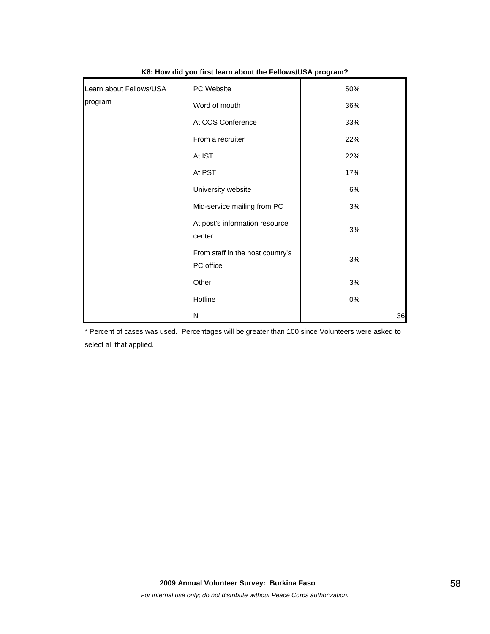| Learn about Fellows/USA | PC Website                                    | 50%   |    |
|-------------------------|-----------------------------------------------|-------|----|
| program                 | Word of mouth                                 | 36%   |    |
|                         | At COS Conference                             | 33%   |    |
|                         | From a recruiter                              | 22%   |    |
|                         | At IST                                        | 22%   |    |
|                         | At PST                                        | 17%   |    |
|                         | University website                            | $6\%$ |    |
|                         | Mid-service mailing from PC                   | 3%    |    |
|                         | At post's information resource<br>center      | $3%$  |    |
|                         | From staff in the host country's<br>PC office | 3%    |    |
|                         | Other                                         | 3%    |    |
|                         | Hotline                                       | 0%    |    |
|                         | N                                             |       | 36 |

**K8: How did you first learn about the Fellows/USA program?**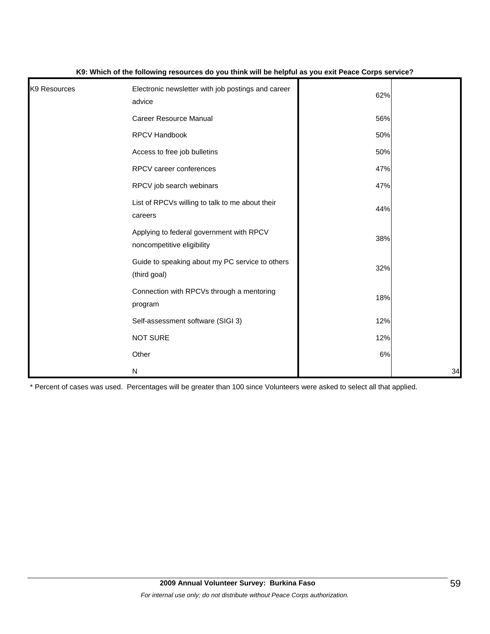| K <sub>9</sub> Resources | Electronic newsletter with job postings and career<br>advice           | 62% |    |
|--------------------------|------------------------------------------------------------------------|-----|----|
|                          | <b>Career Resource Manual</b>                                          | 56% |    |
|                          | RPCV Handbook                                                          | 50% |    |
|                          | Access to free job bulletins                                           | 50% |    |
|                          | RPCV career conferences                                                | 47% |    |
|                          | RPCV job search webinars                                               | 47% |    |
|                          | List of RPCVs willing to talk to me about their<br>careers             | 44% |    |
|                          | Applying to federal government with RPCV<br>noncompetitive eligibility | 38% |    |
|                          | Guide to speaking about my PC service to others<br>(third goal)        | 32% |    |
|                          | Connection with RPCVs through a mentoring<br>program                   | 18% |    |
|                          | Self-assessment software (SIGI 3)                                      | 12% |    |
|                          | <b>NOT SURE</b>                                                        | 12% |    |
|                          | Other                                                                  | 6%  |    |
|                          | N                                                                      |     | 34 |

#### **K9: Which of the following resources do you think will be helpful as you exit Peace Corps service?**